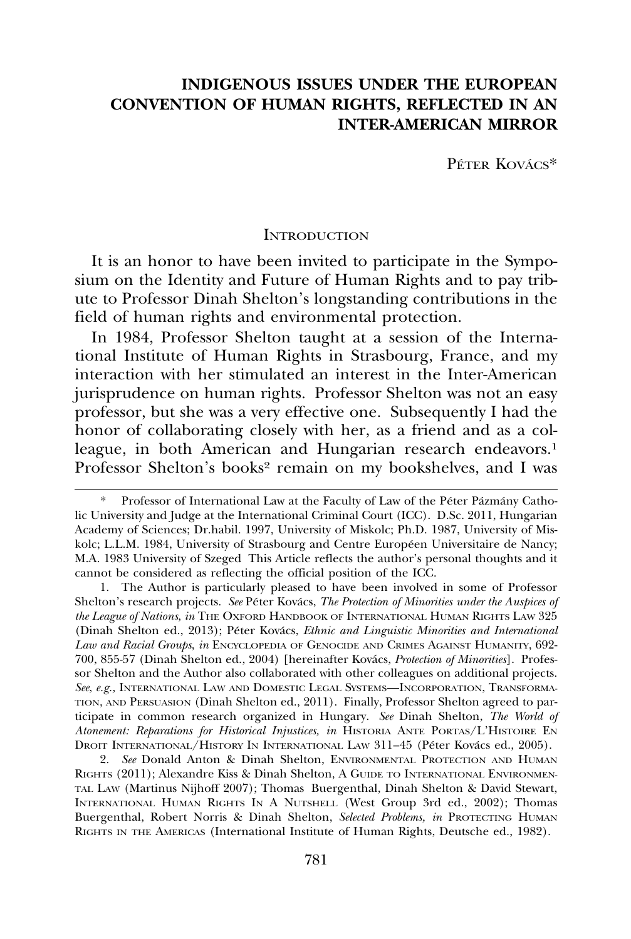# **INDIGENOUS ISSUES UNDER THE EUROPEAN CONVENTION OF HUMAN RIGHTS, REFLECTED IN AN INTER-AMERICAN MIRROR**

PÉTER KOVÁCS\*

#### **INTRODUCTION**

It is an honor to have been invited to participate in the Symposium on the Identity and Future of Human Rights and to pay tribute to Professor Dinah Shelton's longstanding contributions in the field of human rights and environmental protection.

In 1984, Professor Shelton taught at a session of the International Institute of Human Rights in Strasbourg, France, and my interaction with her stimulated an interest in the Inter-American jurisprudence on human rights. Professor Shelton was not an easy professor, but she was a very effective one. Subsequently I had the honor of collaborating closely with her, as a friend and as a colleague, in both American and Hungarian research endeavors.<sup>1</sup> Professor Shelton's books<sup>2</sup> remain on my bookshelves, and I was

Professor of International Law at the Faculty of Law of the Péter Pázmány Catholic University and Judge at the International Criminal Court (ICC). D.Sc. 2011, Hungarian Academy of Sciences; Dr.habil. 1997, University of Miskolc; Ph.D. 1987, University of Miskolc; L.L.M. 1984, University of Strasbourg and Centre Européen Universitaire de Nancy; M.A. 1983 University of Szeged This Article reflects the author's personal thoughts and it cannot be considered as reflecting the official position of the ICC.

<sup>1.</sup> The Author is particularly pleased to have been involved in some of Professor Shelton's research projects. See Péter Kovács, *The Protection of Minorities under the Auspices of the League of Nations*, *in* THE OXFORD HANDBOOK OF INTERNATIONAL HUMAN RIGHTS LAW 325 (Dinah Shelton ed., 2013); Péter Kovács, *Ethnic and Linguistic Minorities and International Law and Racial Groups*, *in* ENCYCLOPEDIA OF GENOCIDE AND CRIMES AGAINST HUMANITY, 692- 700, 855-57 (Dinah Shelton ed., 2004) [hereinafter Kovács, *Protection of Minorities*]. Professor Shelton and the Author also collaborated with other colleagues on additional projects. *See*, *e.g.,* INTERNATIONAL LAW AND DOMESTIC LEGAL SYSTEMS—INCORPORATION, TRANSFORMA-TION, AND PERSUASION (Dinah Shelton ed., 2011). Finally, Professor Shelton agreed to participate in common research organized in Hungary. *See* Dinah Shelton, *The World of Atonement: Reparations for Historical Injustices, in* HISTORIA ANTE PORTAS/L'HISTOIRE EN DROIT INTERNATIONAL/HISTORY IN INTERNATIONAL LAW 311–45 (Péter Kovács ed., 2005).

<sup>2.</sup> *See* Donald Anton & Dinah Shelton, ENVIRONMENTAL PROTECTION AND HUMAN RIGHTS (2011); Alexandre Kiss & Dinah Shelton, A GUIDE TO INTERNATIONAL ENVIRONMEN-TAL LAW (Martinus Nijhoff 2007); Thomas Buergenthal, Dinah Shelton & David Stewart, INTERNATIONAL HUMAN RIGHTS IN A NUTSHELL (West Group 3rd ed., 2002); Thomas Buergenthal, Robert Norris & Dinah Shelton, *Selected Problems, in* PROTECTING HUMAN RIGHTS IN THE AMERICAS (International Institute of Human Rights, Deutsche ed., 1982).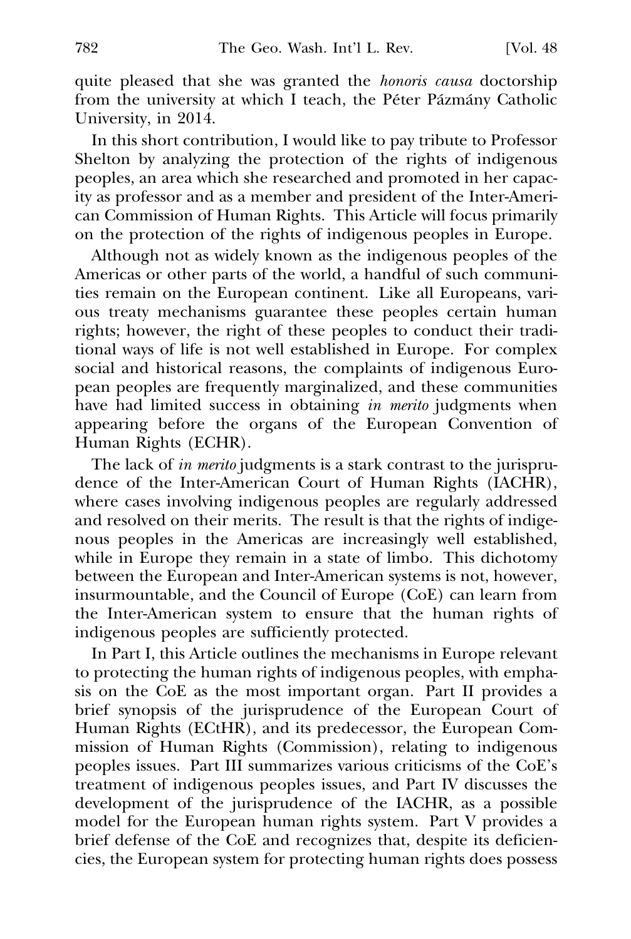quite pleased that she was granted the *honoris causa* doctorship from the university at which I teach, the Péter Pázmány Catholic University, in 2014.

In this short contribution, I would like to pay tribute to Professor Shelton by analyzing the protection of the rights of indigenous peoples, an area which she researched and promoted in her capacity as professor and as a member and president of the Inter-American Commission of Human Rights. This Article will focus primarily on the protection of the rights of indigenous peoples in Europe.

Although not as widely known as the indigenous peoples of the Americas or other parts of the world, a handful of such communities remain on the European continent. Like all Europeans, various treaty mechanisms guarantee these peoples certain human rights; however, the right of these peoples to conduct their traditional ways of life is not well established in Europe. For complex social and historical reasons, the complaints of indigenous European peoples are frequently marginalized, and these communities have had limited success in obtaining *in merito* judgments when appearing before the organs of the European Convention of Human Rights (ECHR).

The lack of *in merito* judgments is a stark contrast to the jurisprudence of the Inter-American Court of Human Rights (IACHR), where cases involving indigenous peoples are regularly addressed and resolved on their merits. The result is that the rights of indigenous peoples in the Americas are increasingly well established, while in Europe they remain in a state of limbo. This dichotomy between the European and Inter-American systems is not, however, insurmountable, and the Council of Europe (CoE) can learn from the Inter-American system to ensure that the human rights of indigenous peoples are sufficiently protected.

In Part I, this Article outlines the mechanisms in Europe relevant to protecting the human rights of indigenous peoples, with emphasis on the CoE as the most important organ. Part II provides a brief synopsis of the jurisprudence of the European Court of Human Rights (ECtHR), and its predecessor, the European Commission of Human Rights (Commission), relating to indigenous peoples issues. Part III summarizes various criticisms of the CoE's treatment of indigenous peoples issues, and Part IV discusses the development of the jurisprudence of the IACHR, as a possible model for the European human rights system. Part V provides a brief defense of the CoE and recognizes that, despite its deficiencies, the European system for protecting human rights does possess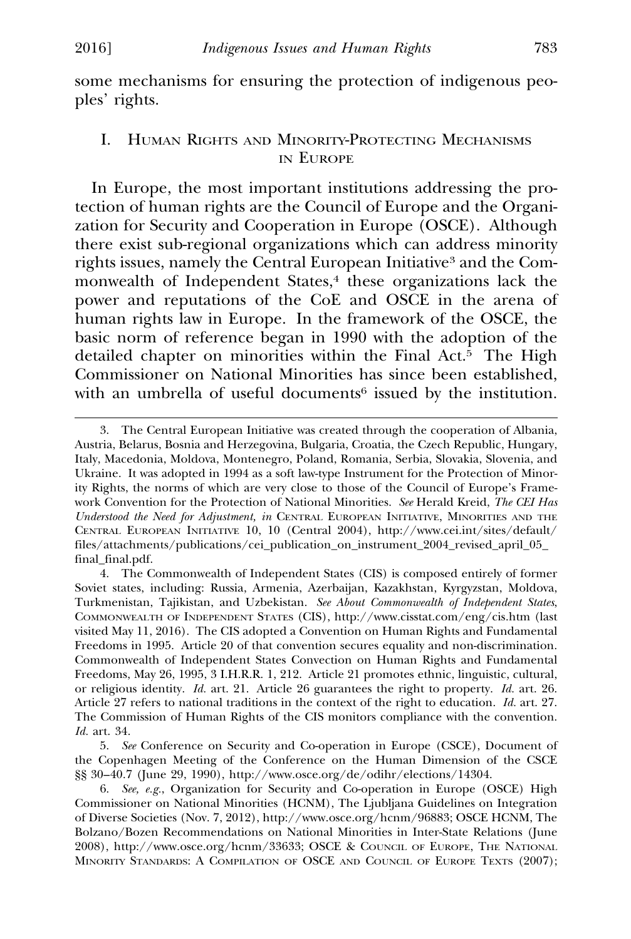some mechanisms for ensuring the protection of indigenous peoples' rights.

## I. HUMAN RIGHTS AND MINORITY-PROTECTING MECHANISMS IN EUROPE

In Europe, the most important institutions addressing the protection of human rights are the Council of Europe and the Organization for Security and Cooperation in Europe (OSCE). Although there exist sub-regional organizations which can address minority rights issues, namely the Central European Initiative<sup>3</sup> and the Commonwealth of Independent States,<sup>4</sup> these organizations lack the power and reputations of the CoE and OSCE in the arena of human rights law in Europe. In the framework of the OSCE, the basic norm of reference began in 1990 with the adoption of the detailed chapter on minorities within the Final Act. $\frac{5}{5}$  The High Commissioner on National Minorities has since been established, with an umbrella of useful documents<sup>6</sup> issued by the institution.

<sup>3.</sup> The Central European Initiative was created through the cooperation of Albania, Austria, Belarus, Bosnia and Herzegovina, Bulgaria, Croatia, the Czech Republic, Hungary, Italy, Macedonia, Moldova, Montenegro, Poland, Romania, Serbia, Slovakia, Slovenia, and Ukraine. It was adopted in 1994 as a soft law-type Instrument for the Protection of Minority Rights, the norms of which are very close to those of the Council of Europe's Framework Convention for the Protection of National Minorities. *See* Herald Kreid, *The CEI Has Understood the Need for Adjustment, in* CENTRAL EUROPEAN INITIATIVE, MINORITIES AND THE CENTRAL EUROPEAN INITIATIVE 10, 10 (Central 2004), http://www.cei.int/sites/default/ files/attachments/publications/cei\_publication\_on\_instrument\_2004\_revised\_april\_05\_ final\_final.pdf.

<sup>4.</sup> The Commonwealth of Independent States (CIS) is composed entirely of former Soviet states, including: Russia, Armenia, Azerbaijan, Kazakhstan, Kyrgyzstan, Moldova, Turkmenistan, Tajikistan, and Uzbekistan. *See About Commonwealth of Independent States*, COMMONWEALTH OF INDEPENDENT STATES (CIS), http://www.cisstat.com/eng/cis.htm (last visited May 11, 2016). The CIS adopted a Convention on Human Rights and Fundamental Freedoms in 1995. Article 20 of that convention secures equality and non-discrimination. Commonwealth of Independent States Convection on Human Rights and Fundamental Freedoms, May 26, 1995, 3 I.H.R.R. 1, 212. Article 21 promotes ethnic, linguistic, cultural, or religious identity. *Id.* art. 21. Article 26 guarantees the right to property. *Id.* art. 26. Article 27 refers to national traditions in the context of the right to education. *Id.* art. 27. The Commission of Human Rights of the CIS monitors compliance with the convention. *Id.* art. 34.

<sup>5.</sup> *See* Conference on Security and Co-operation in Europe (CSCE), Document of the Copenhagen Meeting of the Conference on the Human Dimension of the CSCE §§ 30–40.7 (June 29, 1990), http://www.osce.org/de/odihr/elections/14304.

<sup>6.</sup> *See, e.g.*, Organization for Security and Co-operation in Europe (OSCE) High Commissioner on National Minorities (HCNM), The Ljubljana Guidelines on Integration of Diverse Societies (Nov. 7, 2012), http://www.osce.org/hcnm/96883; OSCE HCNM, The Bolzano/Bozen Recommendations on National Minorities in Inter-State Relations (June 2008), http://www.osce.org/hcnm/33633; OSCE & COUNCIL OF EUROPE, THE NATIONAL MINORITY STANDARDS: A COMPILATION OF OSCE AND COUNCIL OF EUROPE TEXTS (2007);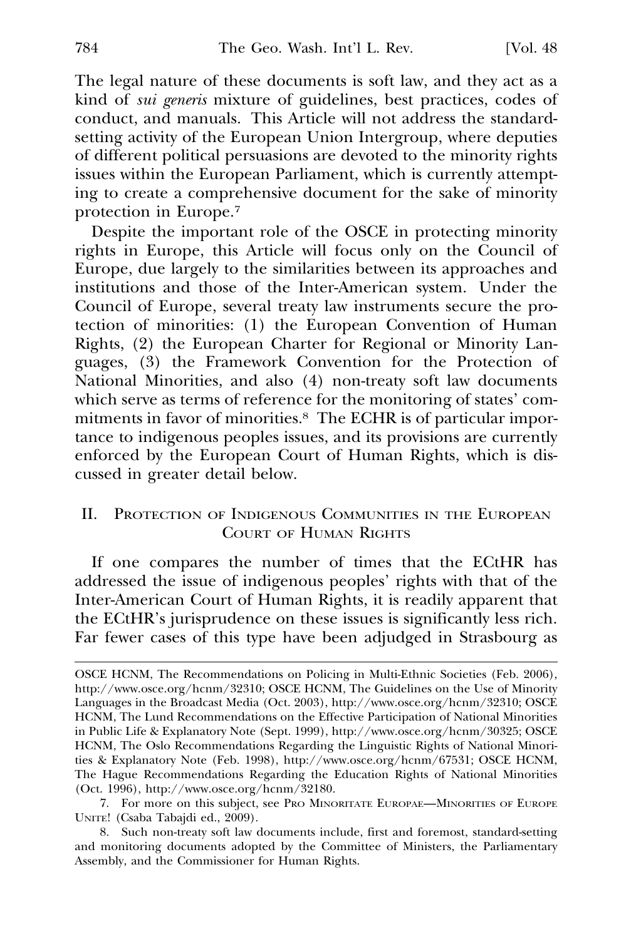The legal nature of these documents is soft law, and they act as a kind of *sui generis* mixture of guidelines, best practices, codes of conduct, and manuals. This Article will not address the standardsetting activity of the European Union Intergroup, where deputies of different political persuasions are devoted to the minority rights issues within the European Parliament, which is currently attempting to create a comprehensive document for the sake of minority protection in Europe.7

Despite the important role of the OSCE in protecting minority rights in Europe, this Article will focus only on the Council of Europe, due largely to the similarities between its approaches and institutions and those of the Inter-American system. Under the Council of Europe, several treaty law instruments secure the protection of minorities: (1) the European Convention of Human Rights, (2) the European Charter for Regional or Minority Languages, (3) the Framework Convention for the Protection of National Minorities, and also (4) non-treaty soft law documents which serve as terms of reference for the monitoring of states' commitments in favor of minorities.8 The ECHR is of particular importance to indigenous peoples issues, and its provisions are currently enforced by the European Court of Human Rights, which is discussed in greater detail below.

## II. PROTECTION OF INDIGENOUS COMMUNITIES IN THE EUROPEAN COURT OF HUMAN RIGHTS

If one compares the number of times that the ECtHR has addressed the issue of indigenous peoples' rights with that of the Inter-American Court of Human Rights, it is readily apparent that the ECtHR's jurisprudence on these issues is significantly less rich. Far fewer cases of this type have been adjudged in Strasbourg as

OSCE HCNM, The Recommendations on Policing in Multi-Ethnic Societies (Feb. 2006), http://www.osce.org/hcnm/32310; OSCE HCNM, The Guidelines on the Use of Minority Languages in the Broadcast Media (Oct. 2003), http://www.osce.org/hcnm/32310; OSCE HCNM, The Lund Recommendations on the Effective Participation of National Minorities in Public Life & Explanatory Note (Sept. 1999), http://www.osce.org/hcnm/30325; OSCE HCNM, The Oslo Recommendations Regarding the Linguistic Rights of National Minorities & Explanatory Note (Feb. 1998), http://www.osce.org/hcnm/67531; OSCE HCNM, The Hague Recommendations Regarding the Education Rights of National Minorities (Oct. 1996), http://www.osce.org/hcnm/32180.

<sup>7.</sup> For more on this subject, see PRO MINORITATE EUROPAE—MINORITIES OF EUROPE UNITE! (Csaba Tabajdi ed., 2009).

<sup>8.</sup> Such non-treaty soft law documents include, first and foremost, standard-setting and monitoring documents adopted by the Committee of Ministers, the Parliamentary Assembly, and the Commissioner for Human Rights.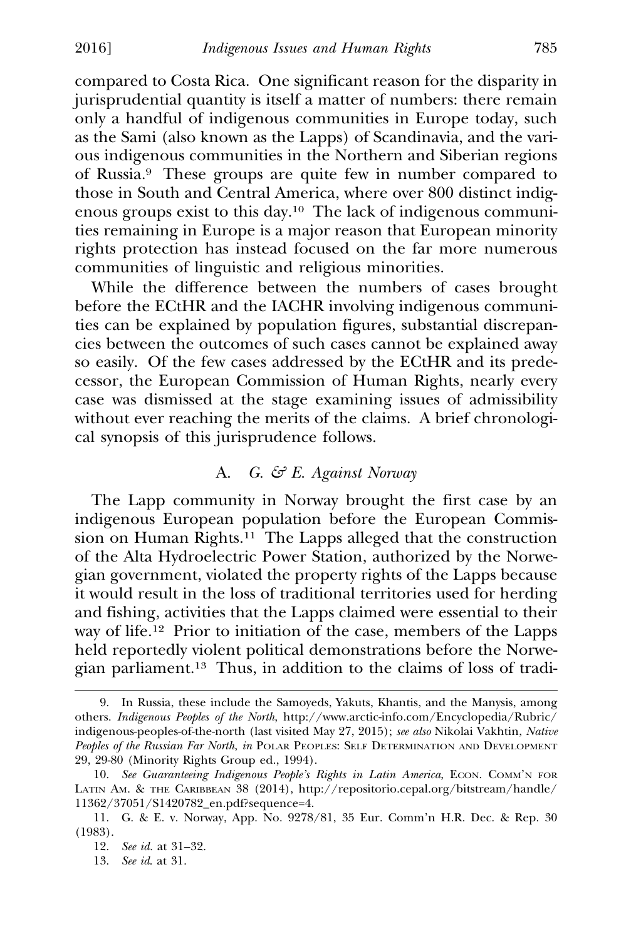compared to Costa Rica. One significant reason for the disparity in jurisprudential quantity is itself a matter of numbers: there remain only a handful of indigenous communities in Europe today, such as the Sami (also known as the Lapps) of Scandinavia, and the various indigenous communities in the Northern and Siberian regions of Russia.9 These groups are quite few in number compared to those in South and Central America, where over 800 distinct indigenous groups exist to this day.10 The lack of indigenous communities remaining in Europe is a major reason that European minority rights protection has instead focused on the far more numerous communities of linguistic and religious minorities.

While the difference between the numbers of cases brought before the ECtHR and the IACHR involving indigenous communities can be explained by population figures, substantial discrepancies between the outcomes of such cases cannot be explained away so easily. Of the few cases addressed by the ECtHR and its predecessor, the European Commission of Human Rights, nearly every case was dismissed at the stage examining issues of admissibility without ever reaching the merits of the claims. A brief chronological synopsis of this jurisprudence follows.

# A. *G. & E. Against Norway*

The Lapp community in Norway brought the first case by an indigenous European population before the European Commission on Human Rights.<sup>11</sup> The Lapps alleged that the construction of the Alta Hydroelectric Power Station, authorized by the Norwegian government, violated the property rights of the Lapps because it would result in the loss of traditional territories used for herding and fishing, activities that the Lapps claimed were essential to their way of life.12 Prior to initiation of the case, members of the Lapps held reportedly violent political demonstrations before the Norwegian parliament.13 Thus, in addition to the claims of loss of tradi-

<sup>9.</sup> In Russia, these include the Samoyeds, Yakuts, Khantis, and the Manysis, among others. *Indigenous Peoples of the North*, http://www.arctic-info.com/Encyclopedia/Rubric/ indigenous-peoples-of-the-north (last visited May 27, 2015); *see also* Nikolai Vakhtin, *Native Peoples of the Russian Far North*, *in* POLAR PEOPLES: SELF DETERMINATION AND DEVELOPMENT 29, 29-80 (Minority Rights Group ed., 1994).

<sup>10.</sup> See Guaranteeing Indigenous People's Rights in Latin America, ECON. COMM'N FOR LATIN AM. & THE CARIBBEAN 38 (2014), http://repositorio.cepal.org/bitstream/handle/ 11362/37051/S1420782\_en.pdf?sequence=4.

<sup>11.</sup> G. & E. v. Norway, App. No. 9278/81, 35 Eur. Comm'n H.R. Dec. & Rep. 30 (1983).

<sup>12.</sup> *See id.* at 31–32.

<sup>13.</sup> *See id*. at 31.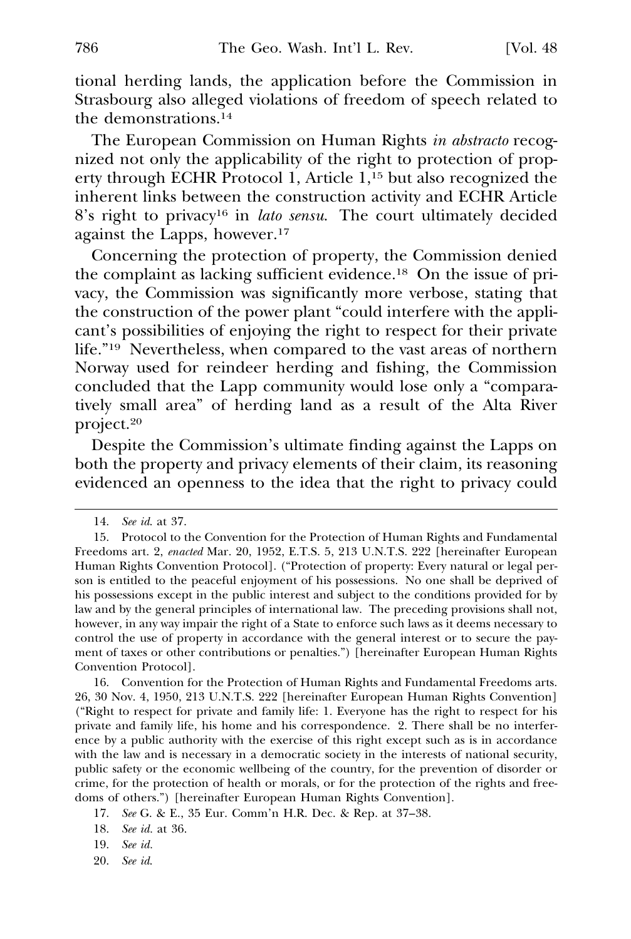tional herding lands, the application before the Commission in Strasbourg also alleged violations of freedom of speech related to the demonstrations.14

The European Commission on Human Rights *in abstracto* recognized not only the applicability of the right to protection of property through ECHR Protocol 1, Article 1,15 but also recognized the inherent links between the construction activity and ECHR Article 8's right to privacy16 in *lato sensu*. The court ultimately decided against the Lapps, however.17

Concerning the protection of property, the Commission denied the complaint as lacking sufficient evidence.18 On the issue of privacy, the Commission was significantly more verbose, stating that the construction of the power plant "could interfere with the applicant's possibilities of enjoying the right to respect for their private life."19 Nevertheless, when compared to the vast areas of northern Norway used for reindeer herding and fishing, the Commission concluded that the Lapp community would lose only a "comparatively small area" of herding land as a result of the Alta River project.20

Despite the Commission's ultimate finding against the Lapps on both the property and privacy elements of their claim, its reasoning evidenced an openness to the idea that the right to privacy could

16. Convention for the Protection of Human Rights and Fundamental Freedoms arts. 26, 30 Nov. 4, 1950, 213 U.N.T.S. 222 [hereinafter European Human Rights Convention] ("Right to respect for private and family life: 1. Everyone has the right to respect for his private and family life, his home and his correspondence. 2. There shall be no interference by a public authority with the exercise of this right except such as is in accordance with the law and is necessary in a democratic society in the interests of national security, public safety or the economic wellbeing of the country, for the prevention of disorder or crime, for the protection of health or morals, or for the protection of the rights and freedoms of others.") [hereinafter European Human Rights Convention].

17. *See* G. & E., 35 Eur. Comm'n H.R. Dec. & Rep. at 37–38.

18. *See id.* at 36.

19. *See id.*

20. *See id*.

<sup>14.</sup> *See id*. at 37.

<sup>15.</sup> Protocol to the Convention for the Protection of Human Rights and Fundamental Freedoms art. 2, *enacted* Mar. 20, 1952, E.T.S. 5, 213 U.N.T.S. 222 [hereinafter European Human Rights Convention Protocol]. ("Protection of property: Every natural or legal person is entitled to the peaceful enjoyment of his possessions. No one shall be deprived of his possessions except in the public interest and subject to the conditions provided for by law and by the general principles of international law. The preceding provisions shall not, however, in any way impair the right of a State to enforce such laws as it deems necessary to control the use of property in accordance with the general interest or to secure the payment of taxes or other contributions or penalties.") [hereinafter European Human Rights Convention Protocol].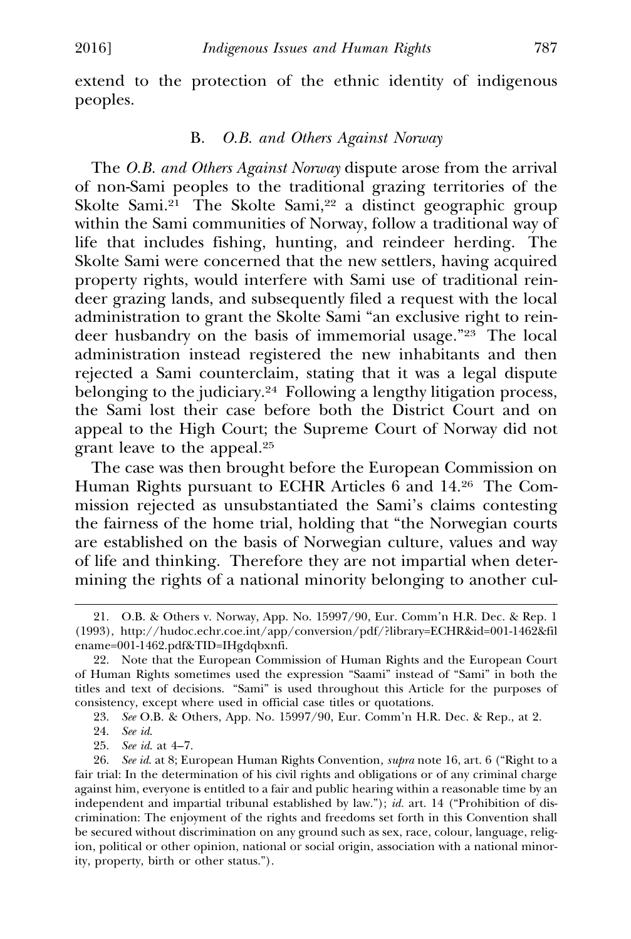extend to the protection of the ethnic identity of indigenous peoples.

### B. *O.B. and Others Against Norway*

The *O.B. and Others Against Norway* dispute arose from the arrival of non-Sami peoples to the traditional grazing territories of the Skolte Sami.<sup>21</sup> The Skolte Sami,<sup>22</sup> a distinct geographic group within the Sami communities of Norway, follow a traditional way of life that includes fishing, hunting, and reindeer herding. The Skolte Sami were concerned that the new settlers, having acquired property rights, would interfere with Sami use of traditional reindeer grazing lands, and subsequently filed a request with the local administration to grant the Skolte Sami "an exclusive right to reindeer husbandry on the basis of immemorial usage."23 The local administration instead registered the new inhabitants and then rejected a Sami counterclaim, stating that it was a legal dispute belonging to the judiciary.<sup>24</sup> Following a lengthy litigation process, the Sami lost their case before both the District Court and on appeal to the High Court; the Supreme Court of Norway did not grant leave to the appeal.25

The case was then brought before the European Commission on Human Rights pursuant to ECHR Articles 6 and 14.26 The Commission rejected as unsubstantiated the Sami's claims contesting the fairness of the home trial, holding that "the Norwegian courts are established on the basis of Norwegian culture, values and way of life and thinking. Therefore they are not impartial when determining the rights of a national minority belonging to another cul-

23. *See* O.B. & Others, App. No. 15997/90, Eur. Comm'n H.R. Dec. & Rep., at 2.

<sup>21.</sup> O.B. & Others v. Norway, App. No. 15997/90, Eur. Comm'n H.R. Dec. & Rep. 1 (1993), http://hudoc.echr.coe.int/app/conversion/pdf/?library=ECHR&id=001-1462&fil ename=001-1462.pdf&TID=IHgdqbxnfi.

<sup>22.</sup> Note that the European Commission of Human Rights and the European Court of Human Rights sometimes used the expression "Saami" instead of "Sami" in both the titles and text of decisions. "Sami" is used throughout this Article for the purposes of consistency, except where used in official case titles or quotations.

<sup>24.</sup> *See id*.

<sup>25.</sup> *See id*. at 4–7.

<sup>26.</sup> *See id*. at 8; European Human Rights Convention*, supra* note 16, art. 6 ("Right to a **R** fair trial: In the determination of his civil rights and obligations or of any criminal charge against him, everyone is entitled to a fair and public hearing within a reasonable time by an independent and impartial tribunal established by law."); *id.* art. 14 ("Prohibition of discrimination: The enjoyment of the rights and freedoms set forth in this Convention shall be secured without discrimination on any ground such as sex, race, colour, language, religion, political or other opinion, national or social origin, association with a national minority, property, birth or other status.").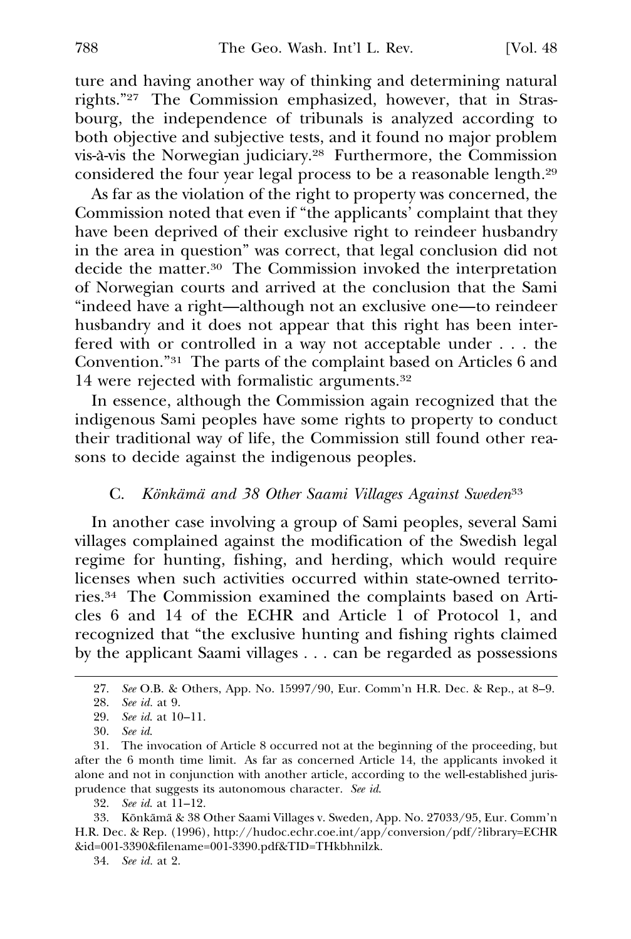ture and having another way of thinking and determining natural rights."27 The Commission emphasized, however, that in Strasbourg, the independence of tribunals is analyzed according to both objective and subjective tests, and it found no major problem vis-à-vis the Norwegian judiciary.<sup>28</sup> Furthermore, the Commission considered the four year legal process to be a reasonable length.29

As far as the violation of the right to property was concerned, the Commission noted that even if "the applicants' complaint that they have been deprived of their exclusive right to reindeer husbandry in the area in question" was correct, that legal conclusion did not decide the matter.30 The Commission invoked the interpretation of Norwegian courts and arrived at the conclusion that the Sami "indeed have a right—although not an exclusive one—to reindeer husbandry and it does not appear that this right has been interfered with or controlled in a way not acceptable under . . . the Convention."31 The parts of the complaint based on Articles 6 and 14 were rejected with formalistic arguments.32

In essence, although the Commission again recognized that the indigenous Sami peoples have some rights to property to conduct their traditional way of life, the Commission still found other reasons to decide against the indigenous peoples.

## C. *Könkämä and 38 Other Saami Villages Against Sweden<sup>33</sup>*

In another case involving a group of Sami peoples, several Sami villages complained against the modification of the Swedish legal regime for hunting, fishing, and herding, which would require licenses when such activities occurred within state-owned territories.34 The Commission examined the complaints based on Articles 6 and 14 of the ECHR and Article 1 of Protocol 1, and recognized that "the exclusive hunting and fishing rights claimed by the applicant Saami villages . . . can be regarded as possessions

<sup>27.</sup> *See* O.B. & Others, App. No. 15997/90, Eur. Comm'n H.R. Dec. & Rep., at 8–9.

<sup>28.</sup> *See id.* at 9.

<sup>29.</sup> *See id*. at 10–11.

<sup>30.</sup> *See id*.

<sup>31.</sup> The invocation of Article 8 occurred not at the beginning of the proceeding, but after the 6 month time limit. As far as concerned Article 14, the applicants invoked it alone and not in conjunction with another article, according to the well-established jurisprudence that suggests its autonomous character. *See id*.

<sup>32.</sup> *See id*. at 11–12.

<sup>33.</sup> Könkämä & 38 Other Saami Villages v. Sweden, App. No. 27033/95, Eur. Comm'n H.R. Dec. & Rep. (1996), http://hudoc.echr.coe.int/app/conversion/pdf/?library=ECHR &id=001-3390&filename=001-3390.pdf&TID=THkbhnilzk.

<sup>34.</sup> *See id.* at 2.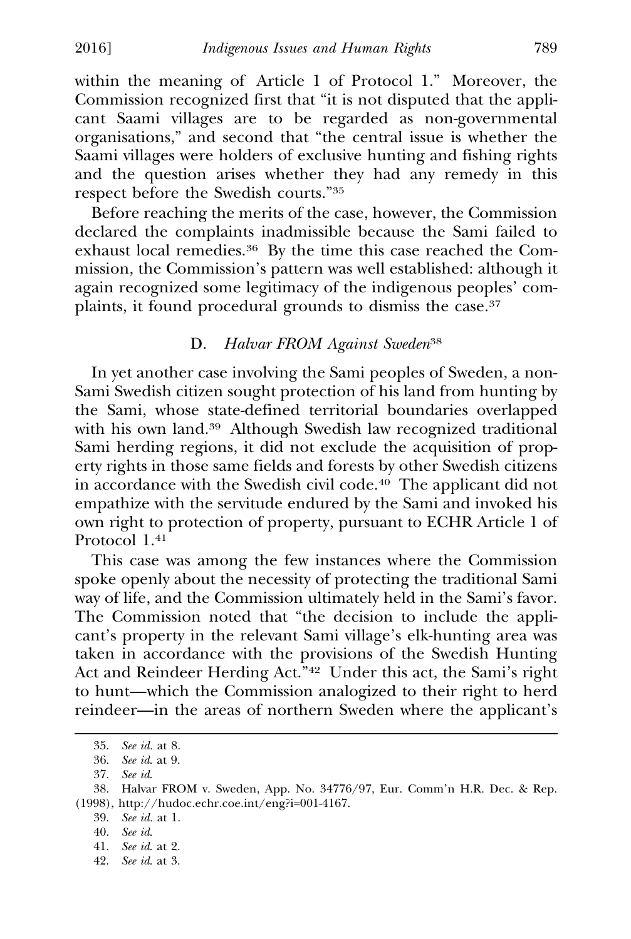within the meaning of Article 1 of Protocol 1." Moreover, the Commission recognized first that "it is not disputed that the applicant Saami villages are to be regarded as non-governmental organisations," and second that "the central issue is whether the Saami villages were holders of exclusive hunting and fishing rights and the question arises whether they had any remedy in this respect before the Swedish courts."35

Before reaching the merits of the case, however, the Commission declared the complaints inadmissible because the Sami failed to exhaust local remedies.36 By the time this case reached the Commission, the Commission's pattern was well established: although it again recognized some legitimacy of the indigenous peoples' complaints, it found procedural grounds to dismiss the case.<sup>37</sup>

### D. *Halvar FROM Against Sweden*<sup>38</sup>

In yet another case involving the Sami peoples of Sweden, a non-Sami Swedish citizen sought protection of his land from hunting by the Sami, whose state-defined territorial boundaries overlapped with his own land.<sup>39</sup> Although Swedish law recognized traditional Sami herding regions, it did not exclude the acquisition of property rights in those same fields and forests by other Swedish citizens in accordance with the Swedish civil code.40 The applicant did not empathize with the servitude endured by the Sami and invoked his own right to protection of property, pursuant to ECHR Article 1 of Protocol 1.41

This case was among the few instances where the Commission spoke openly about the necessity of protecting the traditional Sami way of life, and the Commission ultimately held in the Sami's favor. The Commission noted that "the decision to include the applicant's property in the relevant Sami village's elk-hunting area was taken in accordance with the provisions of the Swedish Hunting Act and Reindeer Herding Act.<sup>742</sup> Under this act, the Sami's right to hunt—which the Commission analogized to their right to herd reindeer—in the areas of northern Sweden where the applicant's

<sup>35.</sup> *See id.* at 8.

<sup>36.</sup> *See id*. at 9.

<sup>37.</sup> *See id*.

<sup>38.</sup> Halvar FROM v. Sweden, App. No. 34776/97, Eur. Comm'n H.R. Dec. & Rep. (1998), http://hudoc.echr.coe.int/eng?i=001-4167.

<sup>39.</sup> *See id.* at 1.

<sup>40.</sup> *See id*.

<sup>41.</sup> *See id*. at 2.

<sup>42.</sup> *See id*. at 3.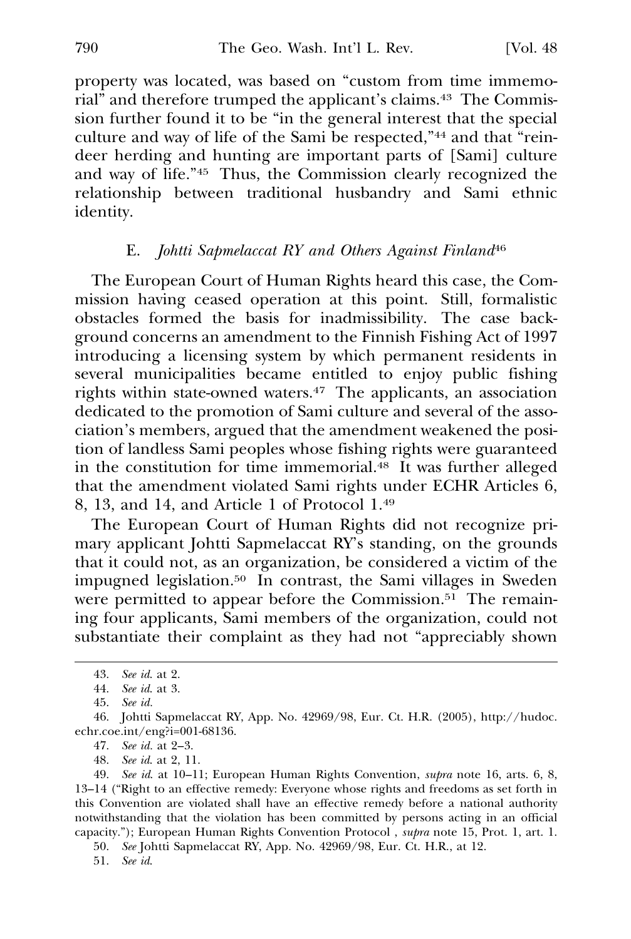property was located, was based on "custom from time immemorial" and therefore trumped the applicant's claims.43 The Commission further found it to be "in the general interest that the special culture and way of life of the Sami be respected,"44 and that "reindeer herding and hunting are important parts of [Sami] culture and way of life."45 Thus, the Commission clearly recognized the relationship between traditional husbandry and Sami ethnic identity.

### E. *Johtti Sapmelaccat RY and Others Against Finland*<sup>46</sup>

The European Court of Human Rights heard this case, the Commission having ceased operation at this point. Still, formalistic obstacles formed the basis for inadmissibility. The case background concerns an amendment to the Finnish Fishing Act of 1997 introducing a licensing system by which permanent residents in several municipalities became entitled to enjoy public fishing rights within state-owned waters.47 The applicants, an association dedicated to the promotion of Sami culture and several of the association's members, argued that the amendment weakened the position of landless Sami peoples whose fishing rights were guaranteed in the constitution for time immemorial.48 It was further alleged that the amendment violated Sami rights under ECHR Articles 6, 8, 13, and 14, and Article 1 of Protocol 1.49

The European Court of Human Rights did not recognize primary applicant Johtti Sapmelaccat RY's standing, on the grounds that it could not, as an organization, be considered a victim of the impugned legislation.50 In contrast, the Sami villages in Sweden were permitted to appear before the Commission.<sup>51</sup> The remaining four applicants, Sami members of the organization, could not substantiate their complaint as they had not "appreciably shown

51. *See id*.

<sup>43.</sup> *See id*. at 2.

<sup>44.</sup> *See id*. at 3.

<sup>45.</sup> *See id.*

<sup>46.</sup> Johtti Sapmelaccat RY, App. No. 42969/98, Eur. Ct. H.R. (2005), http://hudoc. echr.coe.int/eng?i=001-68136.

<sup>47.</sup> *See id.* at 2–3.

<sup>48.</sup> *See id*. at 2, 11.

<sup>49.</sup> *See id*. at 10–11; European Human Rights Convention, *supra* note 16, arts. 6, 8, **R** 13–14 ("Right to an effective remedy: Everyone whose rights and freedoms as set forth in this Convention are violated shall have an effective remedy before a national authority notwithstanding that the violation has been committed by persons acting in an official capacity."); European Human Rights Convention Protocol, *supra* note 15, Prot. 1, art. 1.

<sup>50.</sup> *See* Johtti Sapmelaccat RY, App. No. 42969/98, Eur. Ct. H.R., at 12.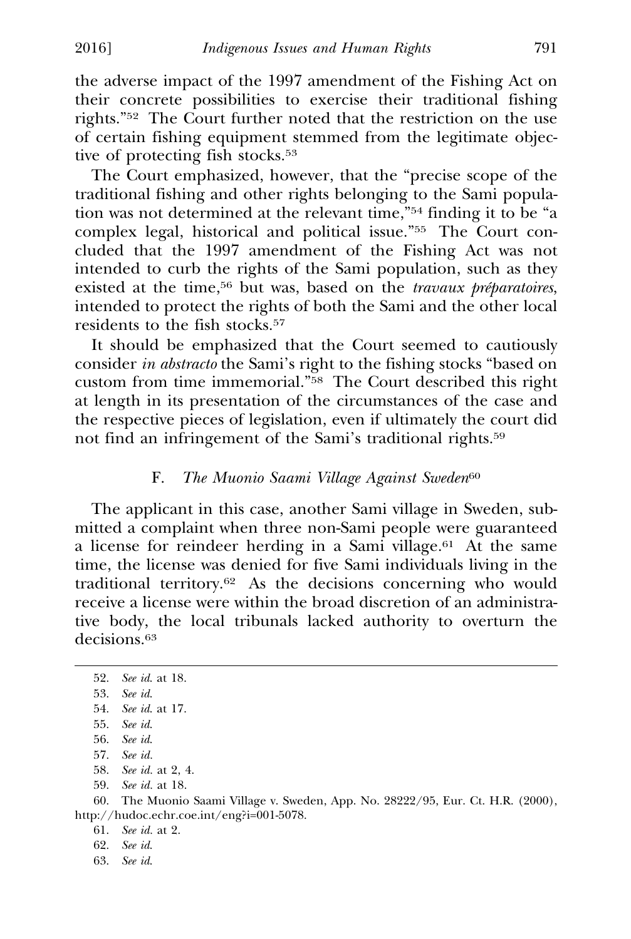the adverse impact of the 1997 amendment of the Fishing Act on their concrete possibilities to exercise their traditional fishing rights."52 The Court further noted that the restriction on the use of certain fishing equipment stemmed from the legitimate objective of protecting fish stocks.<sup>53</sup>

The Court emphasized, however, that the "precise scope of the traditional fishing and other rights belonging to the Sami population was not determined at the relevant time,"54 finding it to be "a complex legal, historical and political issue."55 The Court concluded that the 1997 amendment of the Fishing Act was not intended to curb the rights of the Sami population, such as they existed at the time,<sup>56</sup> but was, based on the *travaux préparatoires*, intended to protect the rights of both the Sami and the other local residents to the fish stocks.57

It should be emphasized that the Court seemed to cautiously consider *in abstracto* the Sami's right to the fishing stocks "based on custom from time immemorial."58 The Court described this right at length in its presentation of the circumstances of the case and the respective pieces of legislation, even if ultimately the court did not find an infringement of the Sami's traditional rights.59

### F. *The Muonio Saami Village Against Sweden*<sup>60</sup>

The applicant in this case, another Sami village in Sweden, submitted a complaint when three non-Sami people were guaranteed a license for reindeer herding in a Sami village.<sup>61</sup> At the same time, the license was denied for five Sami individuals living in the traditional territory.62 As the decisions concerning who would receive a license were within the broad discretion of an administrative body, the local tribunals lacked authority to overturn the decisions.<sup>63</sup>

- 58. *See id.* at 2, 4.
- 59. *See id.* at 18.

60. The Muonio Saami Village v. Sweden, App. No. 28222/95, Eur. Ct. H.R. (2000), http://hudoc.echr.coe.int/eng?i=001-5078.

61. *See id.* at 2.

63. *See id*.

<sup>52.</sup> *See id*. at 18.

<sup>53.</sup> *See id*.

<sup>54.</sup> *See id*. at 17.

<sup>55.</sup> *See id*.

<sup>56.</sup> *See id*.

<sup>57.</sup> *See id.*

<sup>62.</sup> *See id*.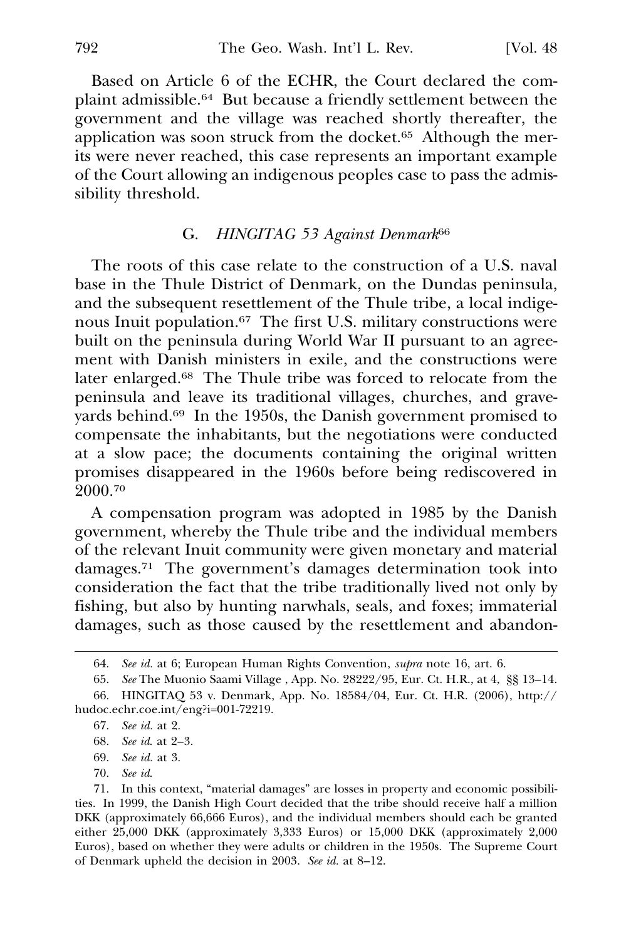Based on Article 6 of the ECHR, the Court declared the complaint admissible.64 But because a friendly settlement between the government and the village was reached shortly thereafter, the application was soon struck from the docket.65 Although the merits were never reached, this case represents an important example of the Court allowing an indigenous peoples case to pass the admissibility threshold.

### G. *HINGITAG 53 Against Denmark*<sup>66</sup>

The roots of this case relate to the construction of a U.S. naval base in the Thule District of Denmark, on the Dundas peninsula, and the subsequent resettlement of the Thule tribe, a local indigenous Inuit population.67 The first U.S. military constructions were built on the peninsula during World War II pursuant to an agreement with Danish ministers in exile, and the constructions were later enlarged.68 The Thule tribe was forced to relocate from the peninsula and leave its traditional villages, churches, and graveyards behind.<sup>69</sup> In the 1950s, the Danish government promised to compensate the inhabitants, but the negotiations were conducted at a slow pace; the documents containing the original written promises disappeared in the 1960s before being rediscovered in 2000.70

A compensation program was adopted in 1985 by the Danish government, whereby the Thule tribe and the individual members of the relevant Inuit community were given monetary and material damages.71 The government's damages determination took into consideration the fact that the tribe traditionally lived not only by fishing, but also by hunting narwhals, seals, and foxes; immaterial damages, such as those caused by the resettlement and abandon-

- 68. *See id*. at 2–3.
- 69. *See id.* at 3.
- 70. *See id*.

71. In this context, "material damages" are losses in property and economic possibilities. In 1999, the Danish High Court decided that the tribe should receive half a million DKK (approximately 66,666 Euros), and the individual members should each be granted either 25,000 DKK (approximately 3,333 Euros) or 15,000 DKK (approximately 2,000 Euros), based on whether they were adults or children in the 1950s. The Supreme Court of Denmark upheld the decision in 2003. *See id.* at 8–12.

<sup>64.</sup> *See id.* at 6; European Human Rights Convention, *supra* note 16, art. 6. **R**

<sup>65.</sup> *See* The Muonio Saami Village , App. No. 28222/95, Eur. Ct. H.R., at 4, §§ 13–14. 66. HINGITAQ 53 v. Denmark, App. No. 18584/04, Eur. Ct. H.R. (2006), http:// hudoc.echr.coe.int/eng?i=001-72219.

<sup>67.</sup> *See id.* at 2.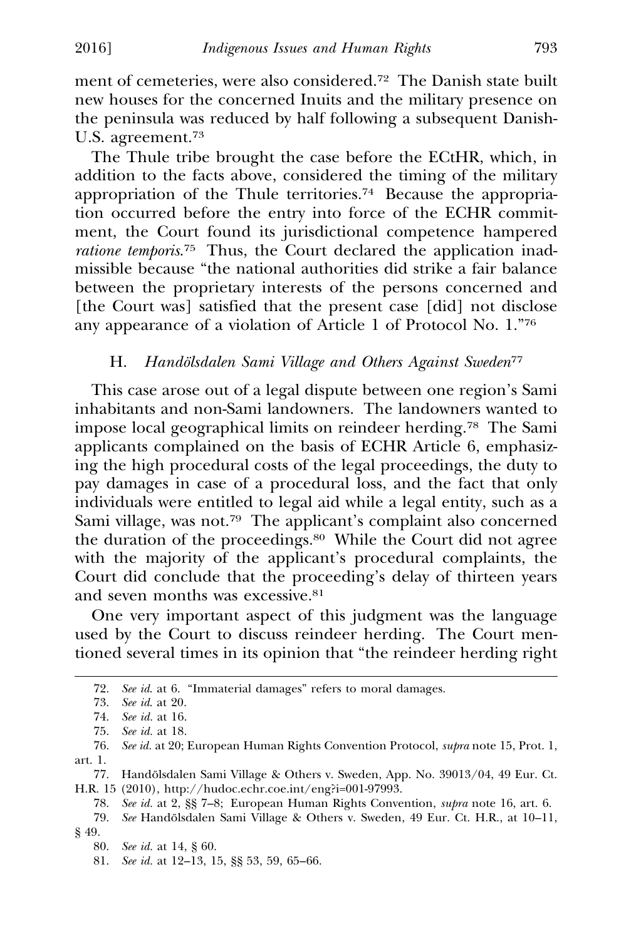ment of cemeteries, were also considered.72 The Danish state built new houses for the concerned Inuits and the military presence on the peninsula was reduced by half following a subsequent Danish-U.S. agreement.73

The Thule tribe brought the case before the ECtHR, which, in addition to the facts above, considered the timing of the military appropriation of the Thule territories.74 Because the appropriation occurred before the entry into force of the ECHR commitment, the Court found its jurisdictional competence hampered *ratione temporis*. 75 Thus, the Court declared the application inadmissible because "the national authorities did strike a fair balance between the proprietary interests of the persons concerned and [the Court was] satisfied that the present case [did] not disclose any appearance of a violation of Article 1 of Protocol No. 1."76

## H. *Handolsdalen Sami Village and Others Against Sweden<sup>77</sup>*

This case arose out of a legal dispute between one region's Sami inhabitants and non-Sami landowners. The landowners wanted to impose local geographical limits on reindeer herding.78 The Sami applicants complained on the basis of ECHR Article 6, emphasizing the high procedural costs of the legal proceedings, the duty to pay damages in case of a procedural loss, and the fact that only individuals were entitled to legal aid while a legal entity, such as a Sami village, was not.79 The applicant's complaint also concerned the duration of the proceedings.80 While the Court did not agree with the majority of the applicant's procedural complaints, the Court did conclude that the proceeding's delay of thirteen years and seven months was excessive.81

One very important aspect of this judgment was the language used by the Court to discuss reindeer herding. The Court mentioned several times in its opinion that "the reindeer herding right

<sup>72.</sup> *See id*. at 6. "Immaterial damages" refers to moral damages.

<sup>73.</sup> *See id*. at 20.

<sup>74.</sup> *See id.* at 16.

<sup>75.</sup> *See id.* at 18.

<sup>76.</sup> *See id.* at 20; European Human Rights Convention Protocol, *supra* note 15, Prot. 1, **R** art. 1.

<sup>77.</sup> Handolsdalen Sami Village & Others v. Sweden, App. No. 39013/04, 49 Eur. Ct. ¨ H.R. 15 (2010), http://hudoc.echr.coe.int/eng?i=001-97993.

<sup>78.</sup> *See id.* at 2, §§ 7–8; European Human Rights Convention, *supra* note 16, art. 6. **R**

<sup>79.</sup> *See* Handölsdalen Sami Village & Others v. Sweden, 49 Eur. Ct. H.R., at 10-11, § 49.

<sup>80.</sup> *See id.* at 14, § 60.

<sup>81.</sup> *See id.* at 12–13, 15, §§ 53, 59, 65–66.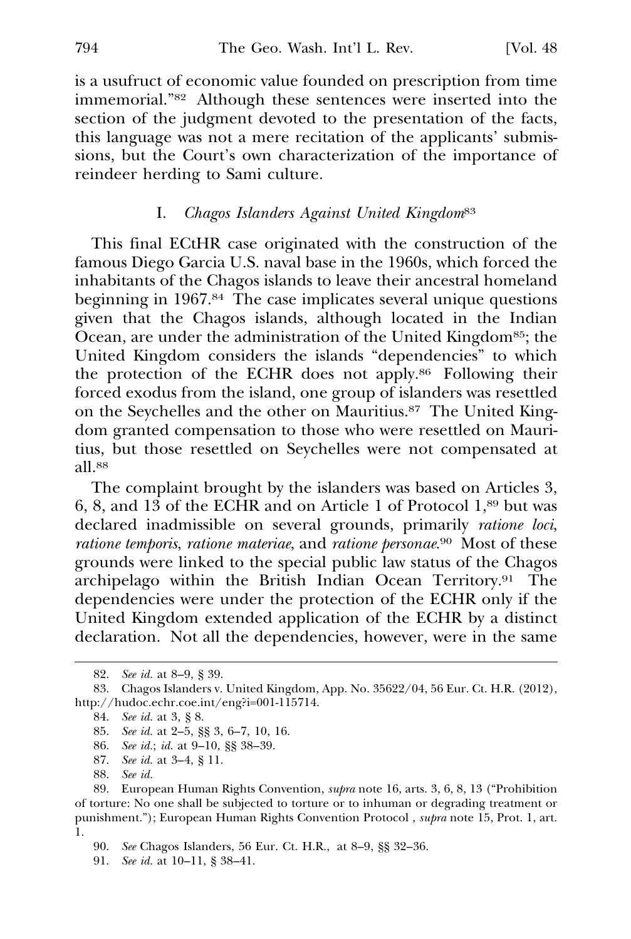is a usufruct of economic value founded on prescription from time immemorial."82 Although these sentences were inserted into the section of the judgment devoted to the presentation of the facts, this language was not a mere recitation of the applicants' submissions, but the Court's own characterization of the importance of reindeer herding to Sami culture.

### I. *Chagos Islanders Against United Kingdom*<sup>83</sup>

This final ECtHR case originated with the construction of the famous Diego Garcia U.S. naval base in the 1960s, which forced the inhabitants of the Chagos islands to leave their ancestral homeland beginning in 1967.84 The case implicates several unique questions given that the Chagos islands, although located in the Indian Ocean, are under the administration of the United Kingdom<sup>85</sup>; the United Kingdom considers the islands "dependencies" to which the protection of the ECHR does not apply.86 Following their forced exodus from the island, one group of islanders was resettled on the Seychelles and the other on Mauritius.87 The United Kingdom granted compensation to those who were resettled on Mauritius, but those resettled on Seychelles were not compensated at all.88

The complaint brought by the islanders was based on Articles 3, 6, 8, and 13 of the ECHR and on Article 1 of Protocol 1,89 but was declared inadmissible on several grounds, primarily *ratione loci*, *ratione temporis*, *ratione materiae*, and *ratione personae*. 90 Most of these grounds were linked to the special public law status of the Chagos archipelago within the British Indian Ocean Territory.91 The dependencies were under the protection of the ECHR only if the United Kingdom extended application of the ECHR by a distinct declaration. Not all the dependencies, however, were in the same

<sup>82.</sup> *See id.* at 8–9, § 39.

<sup>83.</sup> Chagos Islanders v. United Kingdom, App. No. 35622/04, 56 Eur. Ct. H.R. (2012), http://hudoc.echr.coe.int/eng?i=001-115714.

<sup>84.</sup> *See id.* at 3, § 8.

<sup>85.</sup> *See id.* at 2–5, §§ 3, 6–7, 10, 16.

<sup>86.</sup> *See id.*; *id.* at 9–10, §§ 38–39.

<sup>87.</sup> *See id.* at 3–4, § 11.

<sup>88.</sup> *See id.*

<sup>89.</sup> European Human Rights Convention, *supra* note 16, arts. 3, 6, 8, 13 ("Prohibition of torture: No one shall be subjected to torture or to inhuman or degrading treatment or punishment."); European Human Rights Convention Protocol , *supra* note 15, Prot. 1, art. **R** 1.

<sup>90.</sup> *See* Chagos Islanders, 56 Eur. Ct. H.R., at 8–9, §§ 32–36.

<sup>91.</sup> *See id.* at 10–11, § 38–41.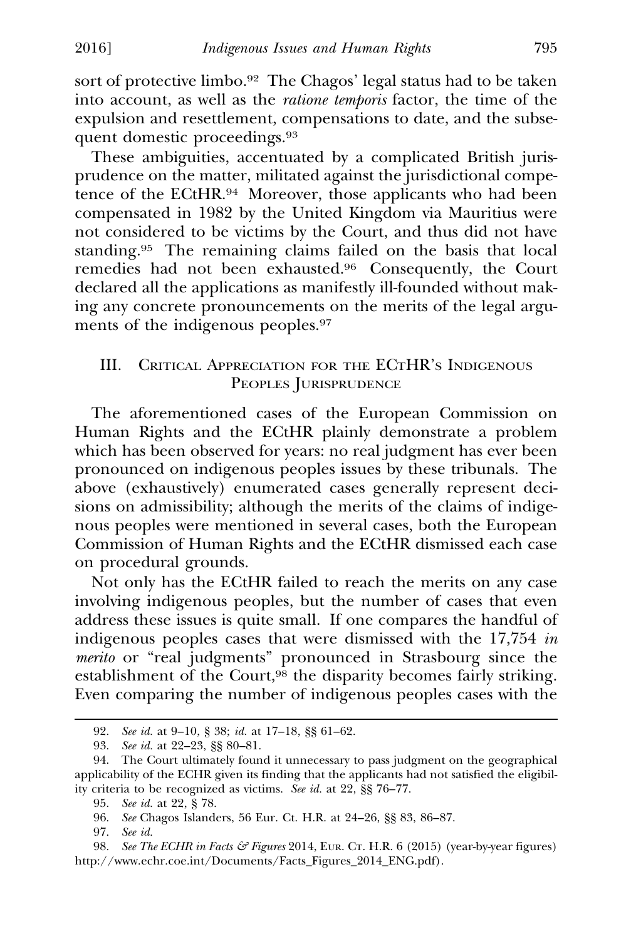sort of protective limbo.<sup>92</sup> The Chagos' legal status had to be taken into account, as well as the *ratione temporis* factor, the time of the expulsion and resettlement, compensations to date, and the subsequent domestic proceedings.<sup>93</sup>

These ambiguities, accentuated by a complicated British jurisprudence on the matter, militated against the jurisdictional competence of the ECtHR.94 Moreover, those applicants who had been compensated in 1982 by the United Kingdom via Mauritius were not considered to be victims by the Court, and thus did not have standing.95 The remaining claims failed on the basis that local remedies had not been exhausted.96 Consequently, the Court declared all the applications as manifestly ill-founded without making any concrete pronouncements on the merits of the legal arguments of the indigenous peoples.<sup>97</sup>

## III. CRITICAL APPRECIATION FOR THE ECTHR'S INDIGENOUS PEOPLES JURISPRUDENCE

The aforementioned cases of the European Commission on Human Rights and the ECtHR plainly demonstrate a problem which has been observed for years: no real judgment has ever been pronounced on indigenous peoples issues by these tribunals. The above (exhaustively) enumerated cases generally represent decisions on admissibility; although the merits of the claims of indigenous peoples were mentioned in several cases, both the European Commission of Human Rights and the ECtHR dismissed each case on procedural grounds.

Not only has the ECtHR failed to reach the merits on any case involving indigenous peoples, but the number of cases that even address these issues is quite small. If one compares the handful of indigenous peoples cases that were dismissed with the 17,754 *in merito* or "real judgments" pronounced in Strasbourg since the establishment of the Court,<sup>98</sup> the disparity becomes fairly striking. Even comparing the number of indigenous peoples cases with the

<sup>92.</sup> *See id.* at 9–10, § 38; *id.* at 17–18, §§ 61–62.

<sup>93.</sup> *See id.* at 22–23, §§ 80–81.

<sup>94.</sup> The Court ultimately found it unnecessary to pass judgment on the geographical applicability of the ECHR given its finding that the applicants had not satisfied the eligibility criteria to be recognized as victims. *See id.* at 22, §§ 76–77.

<sup>95.</sup> *See id.* at 22, § 78.

<sup>96.</sup> *See* Chagos Islanders, 56 Eur. Ct. H.R. at 24–26, §§ 83, 86–87.

<sup>97.</sup> *See id.*

<sup>98.</sup> *See The ECHR in Facts & Figures* 2014, EUR. CT. H.R. 6 (2015) (year-by-year figures) http://www.echr.coe.int/Documents/Facts\_Figures\_2014\_ENG.pdf).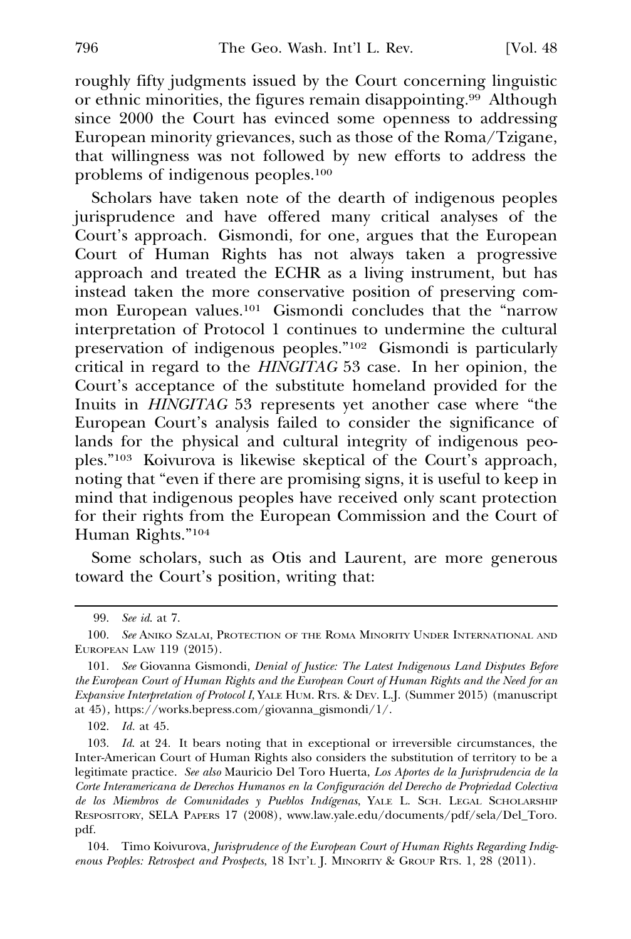roughly fifty judgments issued by the Court concerning linguistic or ethnic minorities, the figures remain disappointing.99 Although since 2000 the Court has evinced some openness to addressing European minority grievances, such as those of the Roma/Tzigane, that willingness was not followed by new efforts to address the problems of indigenous peoples.100

Scholars have taken note of the dearth of indigenous peoples jurisprudence and have offered many critical analyses of the Court's approach. Gismondi, for one, argues that the European Court of Human Rights has not always taken a progressive approach and treated the ECHR as a living instrument, but has instead taken the more conservative position of preserving common European values.101 Gismondi concludes that the "narrow interpretation of Protocol 1 continues to undermine the cultural preservation of indigenous peoples."102 Gismondi is particularly critical in regard to the *HINGITAG* 53 case. In her opinion, the Court's acceptance of the substitute homeland provided for the Inuits in *HINGITAG* 53 represents yet another case where "the European Court's analysis failed to consider the significance of lands for the physical and cultural integrity of indigenous peoples."103 Koivurova is likewise skeptical of the Court's approach, noting that "even if there are promising signs, it is useful to keep in mind that indigenous peoples have received only scant protection for their rights from the European Commission and the Court of Human Rights."104

Some scholars, such as Otis and Laurent, are more generous toward the Court's position, writing that:

<sup>99.</sup> *See id*. at 7.

<sup>100.</sup> *See* ANIKO SZALAI, PROTECTION OF THE ROMA MINORITY UNDER INTERNATIONAL AND EUROPEAN LAW 119 (2015).

<sup>101.</sup> *See* Giovanna Gismondi, *Denial of Justice: The Latest Indigenous Land Disputes Before the European Court of Human Rights and the European Court of Human Rights and the Need for an Expansive Interpretation of Protocol I*, YALE HUM. RTS. & DEV. L.J. (Summer 2015) (manuscript at 45)*,* https://works.bepress.com/giovanna\_gismondi/1/.

<sup>102.</sup> *Id.* at 45.

<sup>103.</sup> *Id*. at 24. It bears noting that in exceptional or irreversible circumstances, the Inter-American Court of Human Rights also considers the substitution of territory to be a legitimate practice. *See also* Mauricio Del Toro Huerta, *Los Aportes de la Jurisprudencia de la Corte Interamericana de Derechos Humanos en la Configuracion del Derecho de Propriedad Colectiva ´ de los Miembros de Comunidades y Pueblos Indıgenas ´* , YALE L. SCH. LEGAL SCHOLARSHIP RESPOSITORY, SELA PAPERS 17 (2008), www.law.yale.edu/documents/pdf/sela/Del\_Toro. pdf.

<sup>104.</sup> Timo Koivurova, *Jurisprudence of the European Court of Human Rights Regarding Indigenous Peoples: Retrospect and Prospects*, 18 INT'L J. MINORITY & GROUP RTS. 1, 28 (2011).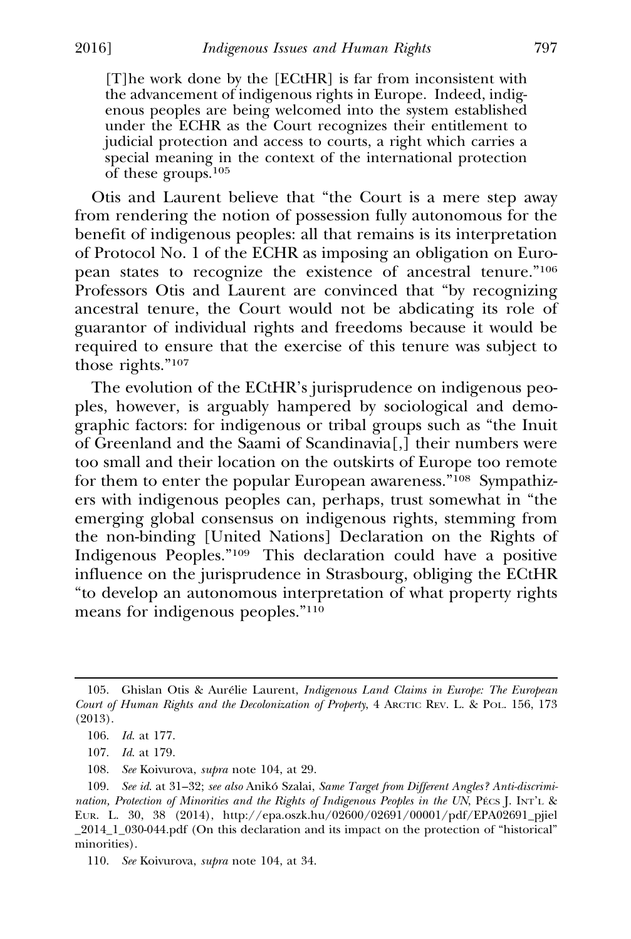[T]he work done by the [ECtHR] is far from inconsistent with the advancement of indigenous rights in Europe. Indeed, indigenous peoples are being welcomed into the system established under the ECHR as the Court recognizes their entitlement to judicial protection and access to courts, a right which carries a special meaning in the context of the international protection of these groups.<sup>105</sup>

Otis and Laurent believe that "the Court is a mere step away from rendering the notion of possession fully autonomous for the benefit of indigenous peoples: all that remains is its interpretation of Protocol No. 1 of the ECHR as imposing an obligation on European states to recognize the existence of ancestral tenure."106 Professors Otis and Laurent are convinced that "by recognizing ancestral tenure, the Court would not be abdicating its role of guarantor of individual rights and freedoms because it would be required to ensure that the exercise of this tenure was subject to those rights."107

The evolution of the ECtHR's jurisprudence on indigenous peoples, however, is arguably hampered by sociological and demographic factors: for indigenous or tribal groups such as "the Inuit of Greenland and the Saami of Scandinavia[,] their numbers were too small and their location on the outskirts of Europe too remote for them to enter the popular European awareness."<sup>108</sup> Sympathizers with indigenous peoples can, perhaps, trust somewhat in "the emerging global consensus on indigenous rights, stemming from the non-binding [United Nations] Declaration on the Rights of Indigenous Peoples."109 This declaration could have a positive influence on the jurisprudence in Strasbourg, obliging the ECtHR "to develop an autonomous interpretation of what property rights means for indigenous peoples."110

<sup>105.</sup> Ghislan Otis & Aurélie Laurent, *Indigenous Land Claims in Europe: The European Court of Human Rights and the Decolonization of Property*, 4 ARCTIC REV. L. & POL. 156, 173 (2013).

<sup>106.</sup> *Id*. at 177.

<sup>107.</sup> *Id*. at 179.

<sup>108.</sup> *See* Koivurova, *supra* note 104, at 29. **R**

<sup>109.</sup> See id. at 31-32; see also Anikó Szalai, Same Target from Different Angles? Anti-discrimi*nation, Protection of Minorities and the Rights of Indigenous Peoples in the UN, PECS J. INT'L &* EUR. L. 30, 38 (2014), http://epa.oszk.hu/02600/02691/00001/pdf/EPA02691\_pjiel \_2014\_1\_030-044.pdf (On this declaration and its impact on the protection of "historical" minorities).

<sup>110.</sup> *See* Koivurova, *supra* note 104, at 34. **R**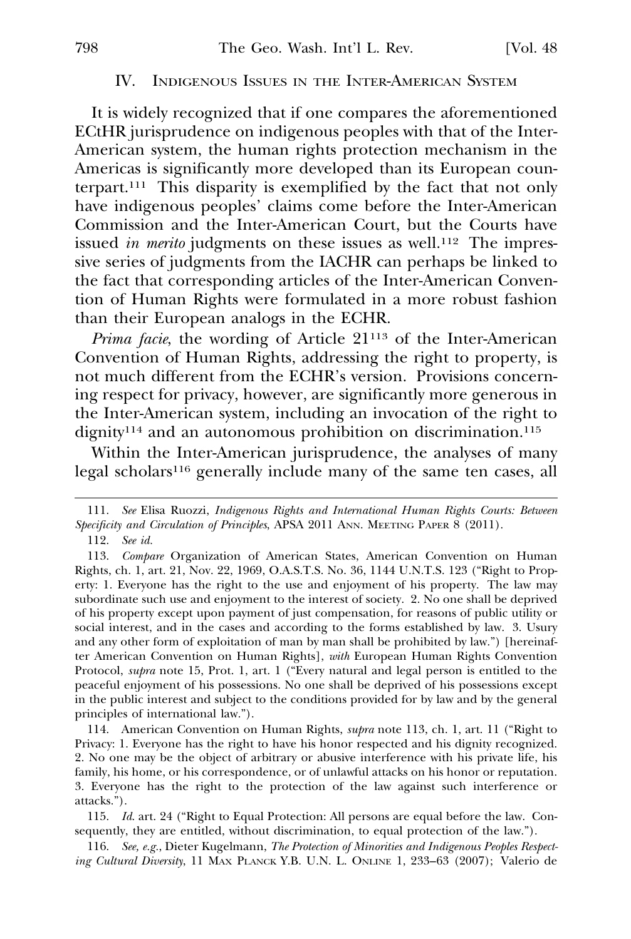### IV. INDIGENOUS ISSUES IN THE INTER-AMERICAN SYSTEM

It is widely recognized that if one compares the aforementioned ECtHR jurisprudence on indigenous peoples with that of the Inter-American system, the human rights protection mechanism in the Americas is significantly more developed than its European counterpart.111 This disparity is exemplified by the fact that not only have indigenous peoples' claims come before the Inter-American Commission and the Inter-American Court, but the Courts have issued *in merito* judgments on these issues as well.<sup>112</sup> The impressive series of judgments from the IACHR can perhaps be linked to the fact that corresponding articles of the Inter-American Convention of Human Rights were formulated in a more robust fashion than their European analogs in the ECHR.

*Prima facie*, the wording of Article 21<sup>113</sup> of the Inter-American Convention of Human Rights, addressing the right to property, is not much different from the ECHR's version. Provisions concerning respect for privacy, however, are significantly more generous in the Inter-American system, including an invocation of the right to dignity<sup>114</sup> and an autonomous prohibition on discrimination.<sup>115</sup>

Within the Inter-American jurisprudence, the analyses of many legal scholars<sup>116</sup> generally include many of the same ten cases, all

116. *See, e.g.*, Dieter Kugelmann, *The Protection of Minorities and Indigenous Peoples Respecting Cultural Diversity*, 11 MAX PLANCK Y.B. U.N. L. ONLINE 1, 233–63 (2007); Valerio de

<sup>111.</sup> *See* Elisa Ruozzi, *Indigenous Rights and International Human Rights Courts: Between Specificity and Circulation of Principles*, APSA 2011 ANN. MEETING PAPER 8 (2011).

<sup>112.</sup> *See id.*

<sup>113.</sup> *Compare* Organization of American States, American Convention on Human Rights, ch. 1, art. 21, Nov. 22, 1969, O.A.S.T.S. No. 36, 1144 U.N.T.S. 123 ("Right to Property: 1. Everyone has the right to the use and enjoyment of his property. The law may subordinate such use and enjoyment to the interest of society. 2. No one shall be deprived of his property except upon payment of just compensation, for reasons of public utility or social interest, and in the cases and according to the forms established by law. 3. Usury and any other form of exploitation of man by man shall be prohibited by law.") [hereinafter American Convention on Human Rights], *with* European Human Rights Convention Protocol, *supra* note 15, Prot. 1, art. 1 ("Every natural and legal person is entitled to the **R** peaceful enjoyment of his possessions. No one shall be deprived of his possessions except in the public interest and subject to the conditions provided for by law and by the general principles of international law.").

<sup>114.</sup> American Convention on Human Rights, *supra* note 113, ch. 1, art. 11 ("Right to **R** Privacy: 1. Everyone has the right to have his honor respected and his dignity recognized. 2. No one may be the object of arbitrary or abusive interference with his private life, his family, his home, or his correspondence, or of unlawful attacks on his honor or reputation. 3. Everyone has the right to the protection of the law against such interference or attacks.").

<sup>115.</sup> *Id*. art. 24 ("Right to Equal Protection: All persons are equal before the law. Consequently, they are entitled, without discrimination, to equal protection of the law.").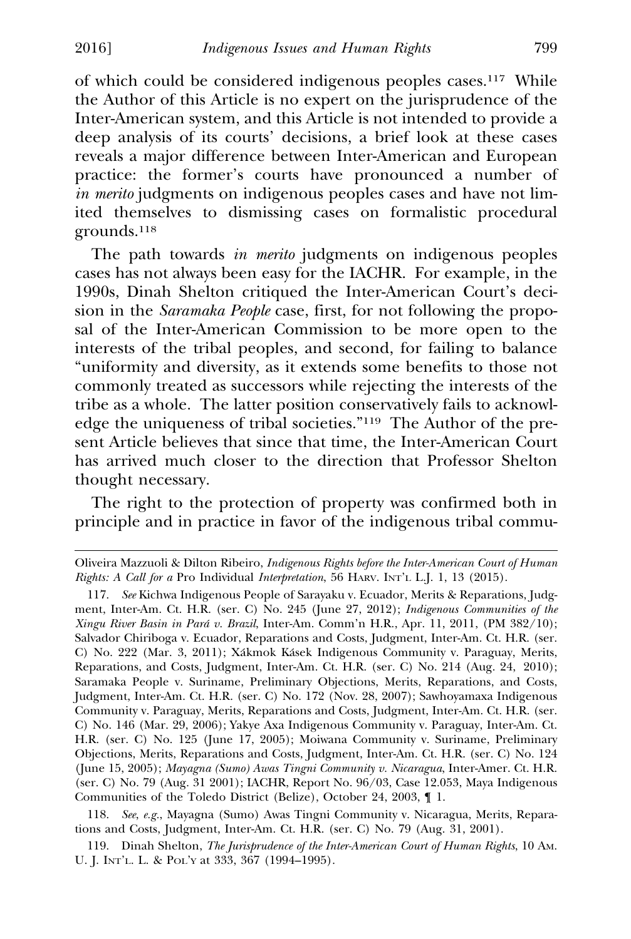of which could be considered indigenous peoples cases.117 While the Author of this Article is no expert on the jurisprudence of the Inter-American system, and this Article is not intended to provide a deep analysis of its courts' decisions, a brief look at these cases reveals a major difference between Inter-American and European practice: the former's courts have pronounced a number of *in merito* judgments on indigenous peoples cases and have not limited themselves to dismissing cases on formalistic procedural grounds.118

The path towards *in merito* judgments on indigenous peoples cases has not always been easy for the IACHR. For example, in the 1990s, Dinah Shelton critiqued the Inter-American Court's decision in the *Saramaka People* case, first, for not following the proposal of the Inter-American Commission to be more open to the interests of the tribal peoples, and second, for failing to balance "uniformity and diversity, as it extends some benefits to those not commonly treated as successors while rejecting the interests of the tribe as a whole. The latter position conservatively fails to acknowledge the uniqueness of tribal societies."119 The Author of the present Article believes that since that time, the Inter-American Court has arrived much closer to the direction that Professor Shelton thought necessary.

The right to the protection of property was confirmed both in principle and in practice in favor of the indigenous tribal commu-

Oliveira Mazzuoli & Dilton Ribeiro, *Indigenous Rights before the Inter-American Court of Human Rights: A Call for a* Pro Individual *Interpretation*, 56 HARV. INT'L L.J. 1, 13 (2015).

<sup>117.</sup> *See* Kichwa Indigenous People of Sarayaku v. Ecuador, Merits & Reparations, Judgment, Inter-Am. Ct. H.R. (ser. C) No. 245 (June 27, 2012); *Indigenous Communities of the Xingu River Basin in Para v. Brazil ´* , Inter-Am. Comm'n H.R., Apr. 11, 2011, (PM 382/10); Salvador Chiriboga v. Ecuador, Reparations and Costs, Judgment, Inter-Am. Ct. H.R. (ser. C) No. 222 (Mar. 3, 2011); Xákmok Kásek Indigenous Community v. Paraguay, Merits, Reparations, and Costs, Judgment, Inter-Am. Ct. H.R. (ser. C) No. 214 (Aug. 24, 2010); Saramaka People v. Suriname, Preliminary Objections, Merits, Reparations, and Costs, Judgment, Inter-Am. Ct. H.R. (ser. C) No. 172 (Nov. 28, 2007); Sawhoyamaxa Indigenous Community v. Paraguay, Merits, Reparations and Costs, Judgment, Inter-Am. Ct. H.R. (ser. C) No. 146 (Mar. 29, 2006); Yakye Axa Indigenous Community v. Paraguay, Inter-Am. Ct. H.R. (ser. C) No. 125 (June 17, 2005); Moiwana Community v. Suriname, Preliminary Objections, Merits, Reparations and Costs, Judgment, Inter-Am. Ct. H.R. (ser. C) No. 124 (June 15, 2005); *Mayagna (Sumo) Awas Tingni Community v. Nicaragua*, Inter-Amer. Ct. H.R. (ser. C) No. 79 (Aug. 31 2001); IACHR, Report No. 96/03, Case 12.053, Maya Indigenous Communities of the Toledo District (Belize), October 24, 2003, ¶ 1.

<sup>118.</sup> *See*, *e.g.*, Mayagna (Sumo) Awas Tingni Community v. Nicaragua, Merits, Reparations and Costs, Judgment, Inter-Am. Ct. H.R. (ser. C) No. 79 (Aug. 31, 2001).

<sup>119.</sup> Dinah Shelton, *The Jurisprudence of the Inter-American Court of Human Rights*, 10 AM. U. J. INT'L. L. & POL'Y at 333, 367 (1994–1995).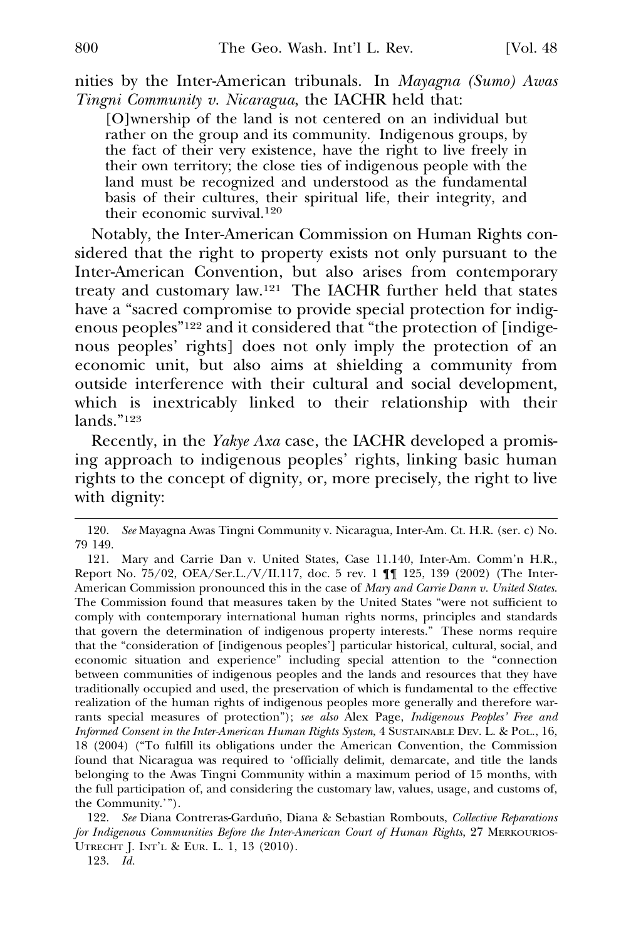nities by the Inter-American tribunals. In *Mayagna (Sumo) Awas Tingni Community v. Nicaragua*, the IACHR held that:

[O]wnership of the land is not centered on an individual but rather on the group and its community. Indigenous groups, by the fact of their very existence, have the right to live freely in their own territory; the close ties of indigenous people with the land must be recognized and understood as the fundamental basis of their cultures, their spiritual life, their integrity, and their economic survival.<sup>120</sup>

Notably, the Inter-American Commission on Human Rights considered that the right to property exists not only pursuant to the Inter-American Convention, but also arises from contemporary treaty and customary law.121 The IACHR further held that states have a "sacred compromise to provide special protection for indigenous peoples"122 and it considered that "the protection of [indigenous peoples' rights] does not only imply the protection of an economic unit, but also aims at shielding a community from outside interference with their cultural and social development, which is inextricably linked to their relationship with their lands."123

Recently, in the *Yakye Axa* case, the IACHR developed a promising approach to indigenous peoples' rights, linking basic human rights to the concept of dignity, or, more precisely, the right to live with dignity:

<sup>120.</sup> *See* Mayagna Awas Tingni Community v. Nicaragua, Inter-Am. Ct. H.R. (ser. c) No. 79 149.

<sup>121.</sup> Mary and Carrie Dan v. United States, Case 11.140, Inter-Am. Comm'n H.R., Report No. 75/02, OEA/Ser.L./V/II.117, doc. 5 rev. 1 ¶¶ 125, 139 (2002) (The Inter-American Commission pronounced this in the case of *Mary and Carrie Dann v. United States*. The Commission found that measures taken by the United States "were not sufficient to comply with contemporary international human rights norms, principles and standards that govern the determination of indigenous property interests." These norms require that the "consideration of [indigenous peoples'] particular historical, cultural, social, and economic situation and experience" including special attention to the "connection between communities of indigenous peoples and the lands and resources that they have traditionally occupied and used, the preservation of which is fundamental to the effective realization of the human rights of indigenous peoples more generally and therefore warrants special measures of protection"); *see also* Alex Page, *Indigenous Peoples' Free and Informed Consent in the Inter-American Human Rights System*, 4 SUSTAINABLE DEV. L. & POL., 16, 18 (2004) ("To fulfill its obligations under the American Convention, the Commission found that Nicaragua was required to 'officially delimit, demarcate, and title the lands belonging to the Awas Tingni Community within a maximum period of 15 months, with the full participation of, and considering the customary law, values, usage, and customs of, the Community.'").

<sup>122.</sup> See Diana Contreras-Garduño, Diana & Sebastian Rombouts, Collective Reparations *for Indigenous Communities Before the Inter-American Court of Human Rights*, 27 MERKOURIOS-UTRECHT J. INT'L & EUR. L. 1, 13 (2010).

<sup>123.</sup> *Id.*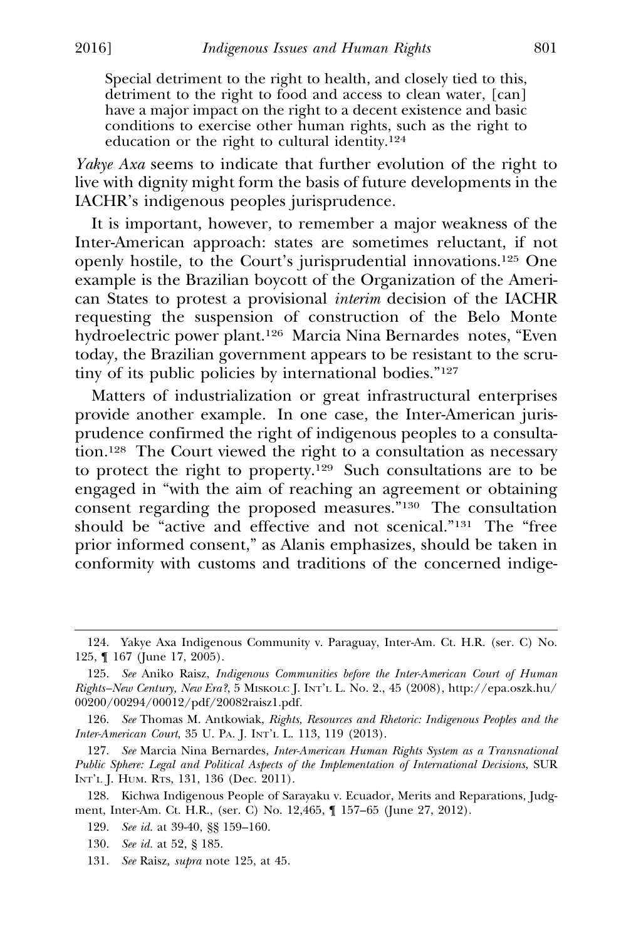Special detriment to the right to health, and closely tied to this, detriment to the right to food and access to clean water, [can] have a major impact on the right to a decent existence and basic conditions to exercise other human rights, such as the right to education or the right to cultural identity.<sup>124</sup>

*Yakye Axa* seems to indicate that further evolution of the right to live with dignity might form the basis of future developments in the IACHR's indigenous peoples jurisprudence.

It is important, however, to remember a major weakness of the Inter-American approach: states are sometimes reluctant, if not openly hostile, to the Court's jurisprudential innovations.125 One example is the Brazilian boycott of the Organization of the American States to protest a provisional *interim* decision of the IACHR requesting the suspension of construction of the Belo Monte hydroelectric power plant.126 Marcia Nina Bernardes notes, "Even today, the Brazilian government appears to be resistant to the scrutiny of its public policies by international bodies."127

Matters of industrialization or great infrastructural enterprises provide another example. In one case, the Inter-American jurisprudence confirmed the right of indigenous peoples to a consultation.<sup>128</sup> The Court viewed the right to a consultation as necessary to protect the right to property.129 Such consultations are to be engaged in "with the aim of reaching an agreement or obtaining consent regarding the proposed measures."130 The consultation should be "active and effective and not scenical."131 The "free prior informed consent," as Alanis emphasizes, should be taken in conformity with customs and traditions of the concerned indige-

<sup>124.</sup> Yakye Axa Indigenous Community v. Paraguay, Inter-Am. Ct. H.R. (ser. C) No. 125, ¶ 167 (June 17, 2005).

<sup>125.</sup> *See* Aniko Raisz, *Indigenous Communities before the Inter-American Court of Human Rights–New Century, New Era?*, 5 MISKOLC J. INT'L L. No. 2., 45 (2008), http://epa.oszk.hu/ 00200/00294/00012/pdf/20082raisz1.pdf.

<sup>126.</sup> *See* Thomas M. Antkowiak, *Rights, Resources and Rhetoric: Indigenous Peoples and the Inter-American Court*, 35 U. PA. J. INT'L L. 113, 119 (2013).

<sup>127.</sup> *See* Marcia Nina Bernardes, *Inter-American Human Rights System as a Transnational Public Sphere: Legal and Political Aspects of the Implementation of International Decisions*, SUR INT'L J. HUM. RTS, 131, 136 (Dec. 2011).

<sup>128.</sup> Kichwa Indigenous People of Sarayaku v. Ecuador, Merits and Reparations, Judgment, Inter-Am. Ct. H.R., (ser. C) No. 12,465, ¶ 157–65 (June 27, 2012).

<sup>129.</sup> *See id.* at 39-40, §§ 159–160.

<sup>130.</sup> *See id.* at 52, § 185.

<sup>131.</sup> *See* Raisz, *supra* note 125, at 45. **R**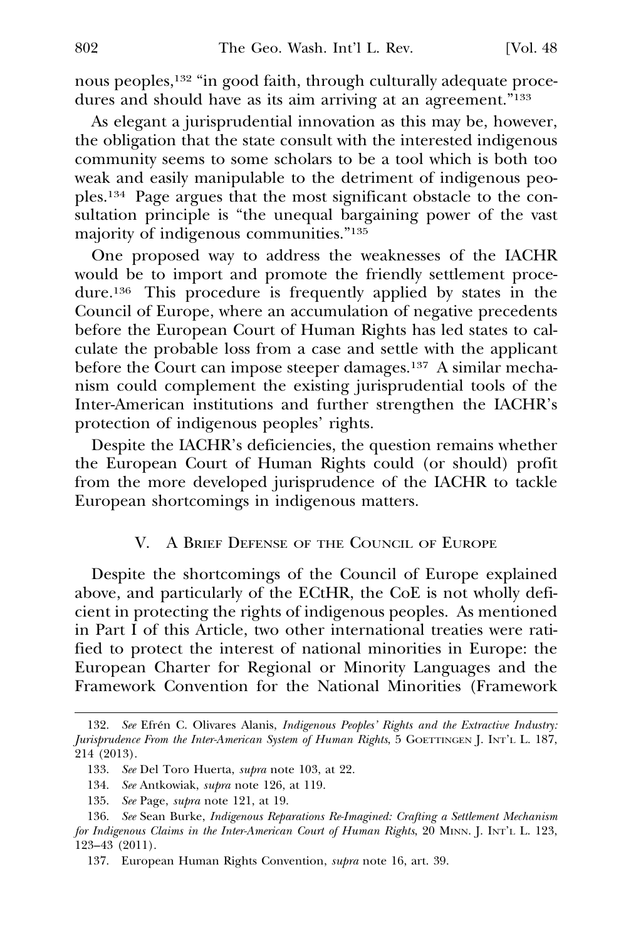nous peoples,132 "in good faith, through culturally adequate procedures and should have as its aim arriving at an agreement."133

As elegant a jurisprudential innovation as this may be, however, the obligation that the state consult with the interested indigenous community seems to some scholars to be a tool which is both too weak and easily manipulable to the detriment of indigenous peoples.134 Page argues that the most significant obstacle to the consultation principle is "the unequal bargaining power of the vast majority of indigenous communities."135

One proposed way to address the weaknesses of the IACHR would be to import and promote the friendly settlement procedure.136 This procedure is frequently applied by states in the Council of Europe, where an accumulation of negative precedents before the European Court of Human Rights has led states to calculate the probable loss from a case and settle with the applicant before the Court can impose steeper damages.137 A similar mechanism could complement the existing jurisprudential tools of the Inter-American institutions and further strengthen the IACHR's protection of indigenous peoples' rights.

Despite the IACHR's deficiencies, the question remains whether the European Court of Human Rights could (or should) profit from the more developed jurisprudence of the IACHR to tackle European shortcomings in indigenous matters.

#### V. A BRIEF DEFENSE OF THE COUNCIL OF EUROPE

Despite the shortcomings of the Council of Europe explained above, and particularly of the ECtHR, the CoE is not wholly deficient in protecting the rights of indigenous peoples. As mentioned in Part I of this Article, two other international treaties were ratified to protect the interest of national minorities in Europe: the European Charter for Regional or Minority Languages and the Framework Convention for the National Minorities (Framework

<sup>132.</sup> See Efrén C. Olivares Alanis, *Indigenous Peoples' Rights and the Extractive Industry*: *Jurisprudence From the Inter-American System of Human Rights*, 5 GOETTINGEN J. INT'L L. 187, 214 (2013).

<sup>133.</sup> See Del Toro Huerta, *supra* note 103, at 22.

<sup>134.</sup> *See* Antkowiak, *supra* note 126, at 119. **R**

<sup>135.</sup> *See* Page, *supra* note 121, at 19. **R**

<sup>136.</sup> *See* Sean Burke, *Indigenous Reparations Re-Imagined: Crafting a Settlement Mechanism for Indigenous Claims in the Inter-American Court of Human Rights*, 20 MINN. J. INT'L L. 123, 123–43 (2011).

<sup>137.</sup> European Human Rights Convention, *supra* note 16, art. 39.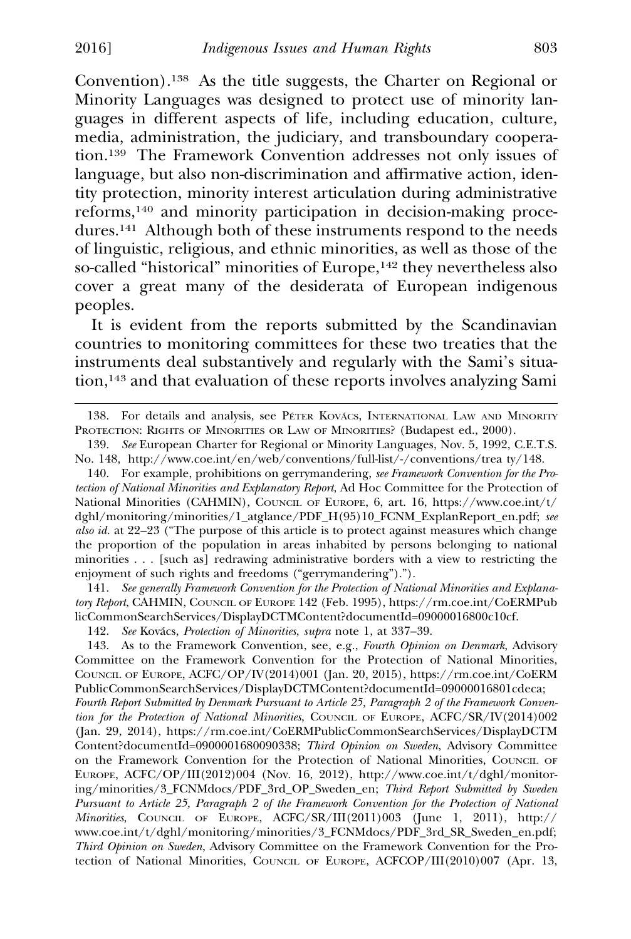Convention).138 As the title suggests, the Charter on Regional or Minority Languages was designed to protect use of minority languages in different aspects of life, including education, culture, media, administration, the judiciary, and transboundary cooperation.139 The Framework Convention addresses not only issues of language, but also non-discrimination and affirmative action, identity protection, minority interest articulation during administrative reforms,140 and minority participation in decision-making procedures.141 Although both of these instruments respond to the needs of linguistic, religious, and ethnic minorities, as well as those of the so-called "historical" minorities of Europe,<sup>142</sup> they nevertheless also cover a great many of the desiderata of European indigenous peoples.

It is evident from the reports submitted by the Scandinavian countries to monitoring committees for these two treaties that the instruments deal substantively and regularly with the Sami's situation,143 and that evaluation of these reports involves analyzing Sami

141. *See generally Framework Convention for the Protection of National Minorities and Explanatory Report*, CAHMIN, COUNCIL OF EUROPE 142 (Feb. 1995), https://rm.coe.int/CoERMPub licCommonSearchServices/DisplayDCTMContent?documentId=09000016800c10cf.

142. See Kovács, Protection of Minorities, *supra* note 1, at 337–39.

143. As to the Framework Convention, see, e.g., *Fourth Opinion on Denmark*, Advisory Committee on the Framework Convention for the Protection of National Minorities, COUNCIL OF EUROPE, ACFC/OP/IV(2014)001 (Jan. 20, 2015), https://rm.coe.int/CoERM PublicCommonSearchServices/DisplayDCTMContent?documentId=09000016801cdeca; *Fourth Report Submitted by Denmark Pursuant to Article 25, Paragraph 2 of the Framework Convention for the Protection of National Minorities*, COUNCIL OF EUROPE, ACFC/SR/IV(2014)002 (Jan. 29, 2014), https://rm.coe.int/CoERMPublicCommonSearchServices/DisplayDCTM Content?documentId=0900001680090338; *Third Opinion on Sweden*, Advisory Committee on the Framework Convention for the Protection of National Minorities, COUNCIL OF EUROPE, ACFC/OP/III(2012)004 (Nov. 16, 2012), http://www.coe.int/t/dghl/monitoring/minorities/3\_FCNMdocs/PDF\_3rd\_OP\_Sweden\_en; *Third Report Submitted by Sweden Pursuant to Article 25, Paragraph 2 of the Framework Convention for the Protection of National Minorities*, COUNCIL OF EUROPE, ACFC/SR/III(2011)003 (June 1, 2011), http:// www.coe.int/t/dghl/monitoring/minorities/3\_FCNMdocs/PDF\_3rd\_SR\_Sweden\_en.pdf; *Third Opinion on Sweden*, Advisory Committee on the Framework Convention for the Protection of National Minorities, COUNCIL OF EUROPE, ACFCOP/III(2010)007 (Apr. 13,

<sup>138.</sup> For details and analysis, see PÉTER KOVÁCS, INTERNATIONAL LAW AND MINORITY PROTECTION: RIGHTS OF MINORITIES OR LAW OF MINORITIES? (Budapest ed., 2000).

<sup>139.</sup> *See* European Charter for Regional or Minority Languages, Nov. 5, 1992, C.E.T.S. No. 148, http://www.coe.int/en/web/conventions/full-list/-/conventions/trea ty/148.

<sup>140.</sup> For example, prohibitions on gerrymandering, *see Framework Convention for the Protection of National Minorities and Explanatory Report*, Ad Hoc Committee for the Protection of National Minorities (CAHMIN), COUNCIL OF EUROPE, 6, art. 16, https://www.coe.int/t/ dghl/monitoring/minorities/1\_atglance/PDF\_H(95)10\_FCNM\_ExplanReport\_en.pdf; *see also id.* at 22–23 ("The purpose of this article is to protect against measures which change the proportion of the population in areas inhabited by persons belonging to national minorities . . . [such as] redrawing administrative borders with a view to restricting the enjoyment of such rights and freedoms ("gerrymandering").").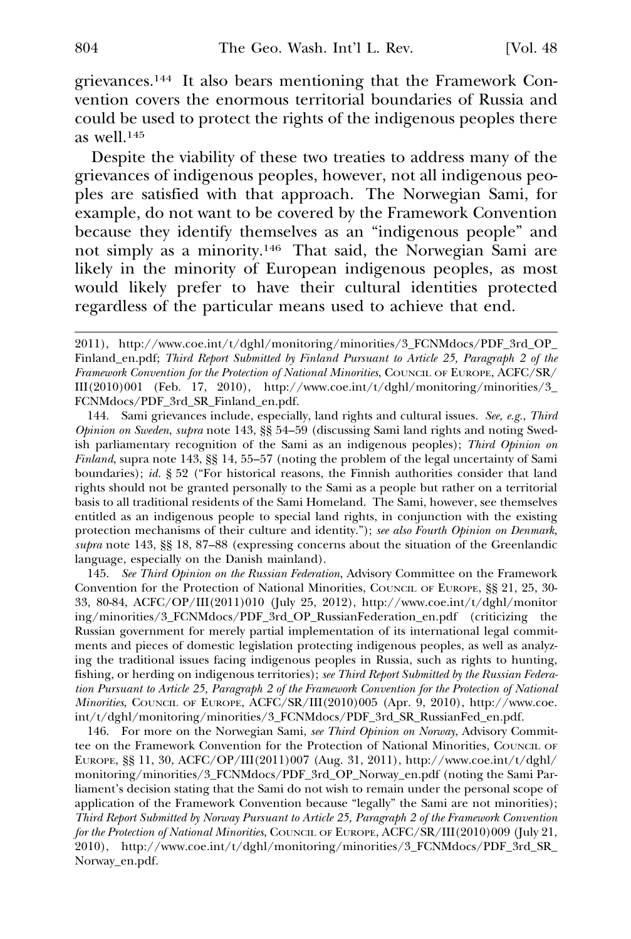grievances.144 It also bears mentioning that the Framework Convention covers the enormous territorial boundaries of Russia and could be used to protect the rights of the indigenous peoples there as well.145

Despite the viability of these two treaties to address many of the grievances of indigenous peoples, however, not all indigenous peoples are satisfied with that approach. The Norwegian Sami, for example, do not want to be covered by the Framework Convention because they identify themselves as an "indigenous people" and not simply as a minority.146 That said, the Norwegian Sami are likely in the minority of European indigenous peoples, as most would likely prefer to have their cultural identities protected regardless of the particular means used to achieve that end.

144. Sami grievances include, especially, land rights and cultural issues. *See, e.g.*, *Third Opinion on Sweden*, *supra* note 143, §§ 54–59 (discussing Sami land rights and noting Swed- **R** ish parliamentary recognition of the Sami as an indigenous peoples); *Third Opinion on Finland*, supra note 143, §§ 14, 55–57 (noting the problem of the legal uncertainty of Sami **R** boundaries); *id.* § 52 ("For historical reasons, the Finnish authorities consider that land rights should not be granted personally to the Sami as a people but rather on a territorial basis to all traditional residents of the Sami Homeland. The Sami, however, see themselves entitled as an indigenous people to special land rights, in conjunction with the existing protection mechanisms of their culture and identity."); *see also Fourth Opinion on Denmark*, *supra* note 143, §§ 18, 87–88 (expressing concerns about the situation of the Greenlandic **R** language, especially on the Danish mainland).

145. *See Third Opinion on the Russian Federation*, Advisory Committee on the Framework Convention for the Protection of National Minorities, COUNCIL OF EUROPE, §§ 21, 25, 30- 33, 80-84, ACFC/OP/III(2011)010 (July 25, 2012), http://www.coe.int/t/dghl/monitor ing/minorities/3\_FCNMdocs/PDF\_3rd\_OP\_RussianFederation\_en.pdf (criticizing the Russian government for merely partial implementation of its international legal commitments and pieces of domestic legislation protecting indigenous peoples, as well as analyzing the traditional issues facing indigenous peoples in Russia, such as rights to hunting, fishing, or herding on indigenous territories); *see Third Report Submitted by the Russian Federation Pursuant to Article 25, Paragraph 2 of the Framework Convention for the Protection of National Minorities*, COUNCIL OF EUROPE, ACFC/SR/III(2010)005 (Apr. 9, 2010), http://www.coe. int/t/dghl/monitoring/minorities/3\_FCNMdocs/PDF\_3rd\_SR\_RussianFed\_en.pdf.

146. For more on the Norwegian Sami, *see Third Opinion on Norway*, Advisory Committee on the Framework Convention for the Protection of National Minorities, COUNCIL OF EUROPE,  $\S$ § 11, 30, ACFC/OP/III(2011)007 (Aug. 31, 2011), http://www.coe.int/t/dghl/ monitoring/minorities/3\_FCNMdocs/PDF\_3rd\_OP\_Norway\_en.pdf (noting the Sami Parliament's decision stating that the Sami do not wish to remain under the personal scope of application of the Framework Convention because "legally" the Sami are not minorities); *Third Report Submitted by Norway Pursuant to Article 25, Paragraph 2 of the Framework Convention for the Protection of National Minorities*, COUNCIL OF EUROPE, ACFC/SR/III(2010)009 (July 21,  $2010$ ), http://www.coe.int/t/dghl/monitoring/minorities/3\_FCNMdocs/PDF\_3rd\_SR\_ Norway\_en.pdf.

<sup>2011),</sup> http://www.coe.int/t/dghl/monitoring/minorities/3\_FCNMdocs/PDF\_3rd\_OP\_ Finland\_en.pdf; *Third Report Submitted by Finland Pursuant to Article 25, Paragraph 2 of the Framework Convention for the Protection of National Minorities*, COUNCIL OF EUROPE, ACFC/SR/ III(2010)001 (Feb. 17, 2010), http://www.coe.int/t/dghl/monitoring/minorities/3\_ FCNMdocs/PDF\_3rd\_SR\_Finland\_en.pdf.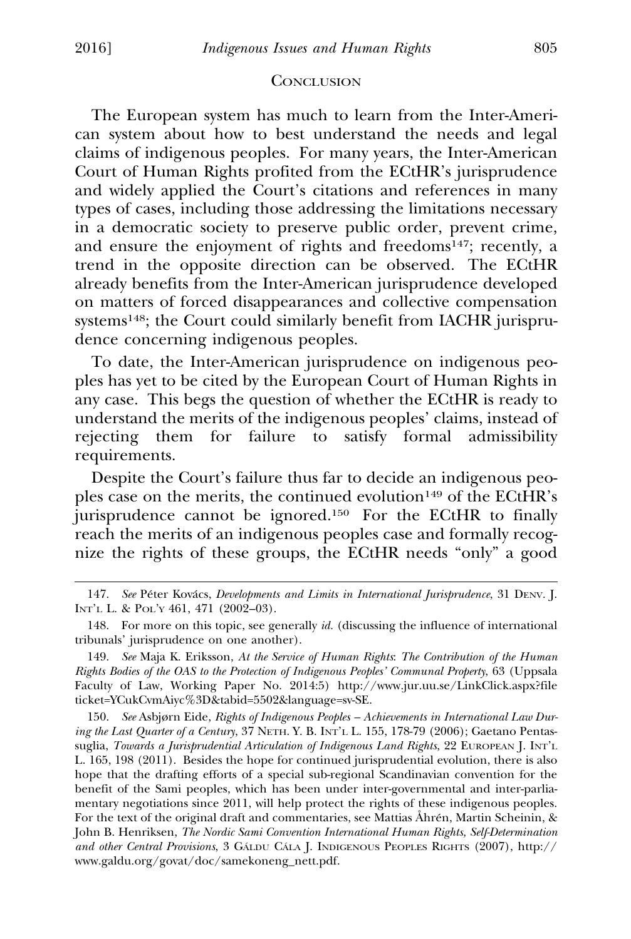#### **CONCLUSION**

The European system has much to learn from the Inter-American system about how to best understand the needs and legal claims of indigenous peoples. For many years, the Inter-American Court of Human Rights profited from the ECtHR's jurisprudence and widely applied the Court's citations and references in many types of cases, including those addressing the limitations necessary in a democratic society to preserve public order, prevent crime, and ensure the enjoyment of rights and freedoms<sup>147</sup>; recently, a trend in the opposite direction can be observed. The ECtHR already benefits from the Inter-American jurisprudence developed on matters of forced disappearances and collective compensation systems148; the Court could similarly benefit from IACHR jurisprudence concerning indigenous peoples.

To date, the Inter-American jurisprudence on indigenous peoples has yet to be cited by the European Court of Human Rights in any case. This begs the question of whether the ECtHR is ready to understand the merits of the indigenous peoples' claims, instead of rejecting them for failure to satisfy formal admissibility requirements.

Despite the Court's failure thus far to decide an indigenous peoples case on the merits, the continued evolution<sup>149</sup> of the ECtHR's jurisprudence cannot be ignored.150 For the ECtHR to finally reach the merits of an indigenous peoples case and formally recognize the rights of these groups, the ECtHR needs "only" a good

149. *See* Maja K. Eriksson, *At the Service of Human Rights*: *The Contribution of the Human Rights Bodies of the OAS to the Protection of Indigenous Peoples' Communal Property*, 63 (Uppsala Faculty of Law, Working Paper No. 2014:5) http://www.jur.uu.se/LinkClick.aspx?file ticket=YCukCvmAiyc%3D&tabid=5502&language=sv-SE.

150. *See* Asbjørn Eide, *Rights of Indigenous Peoples – Achievements in International Law During the Last Quarter of a Century*, 37 NETH. Y. B. INT'L L. 155, 178-79 (2006); Gaetano Pentassuglia, *Towards a Jurisprudential Articulation of Indigenous Land Rights*, 22 EUROPEAN J. INT'L L. 165, 198 (2011). Besides the hope for continued jurisprudential evolution, there is also hope that the drafting efforts of a special sub-regional Scandinavian convention for the benefit of the Sami peoples, which has been under inter-governmental and inter-parliamentary negotiations since 2011, will help protect the rights of these indigenous peoples. For the text of the original draft and commentaries, see Mattias Åhrén, Martin Scheinin, & John B. Henriksen, *The Nordic Sami Convention International Human Rights, Self-Determination and other Central Provisions*, 3 GALDU CALA *J. INDIGENOUS PEOPLES RIGHTS* (2007), http:// www.galdu.org/govat/doc/samekoneng\_nett.pdf.

<sup>147.</sup> See Péter Kovács, *Developments and Limits in International Jurisprudence*, 31 DENV. J. INT'L L. & POL'Y 461, 471 (2002–03).

<sup>148.</sup> For more on this topic, see generally *id.* (discussing the influence of international tribunals' jurisprudence on one another).